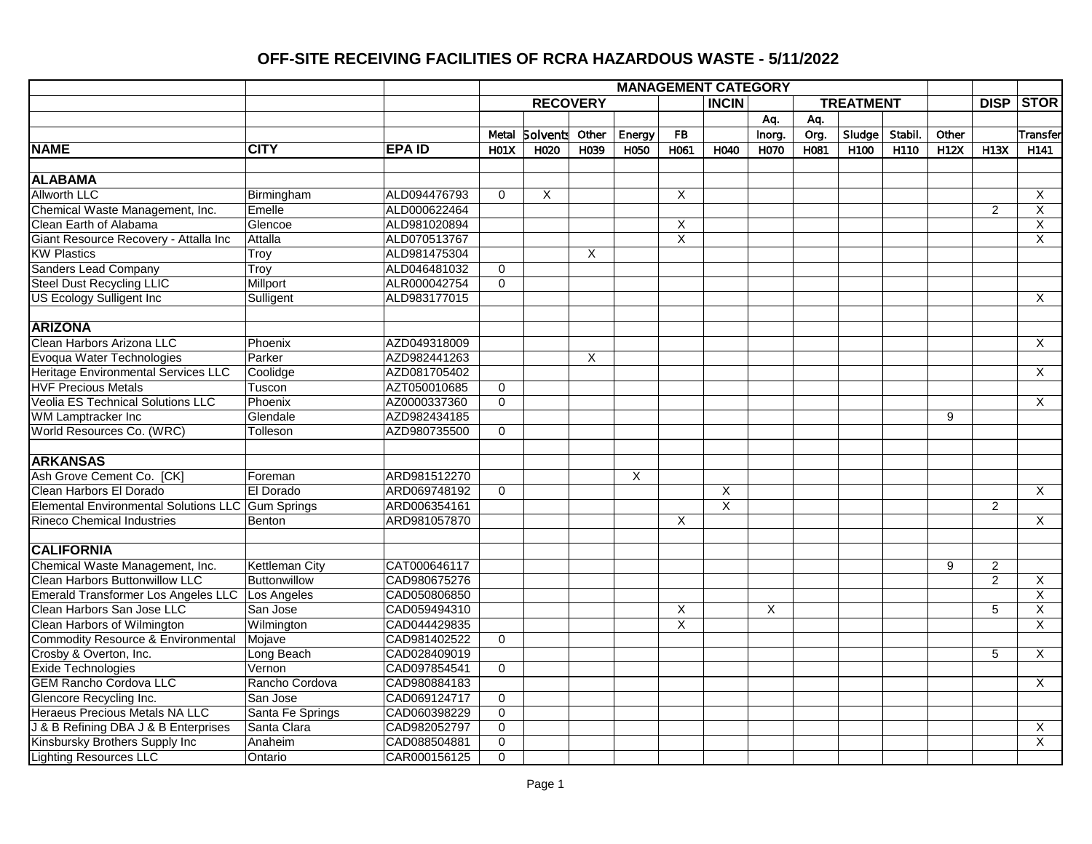|                                                   |                  |               |                  |                  |       |        |                         | <b>MANAGEMENT CATEGORY</b> |        |      |                  |         |             |                |                         |
|---------------------------------------------------|------------------|---------------|------------------|------------------|-------|--------|-------------------------|----------------------------|--------|------|------------------|---------|-------------|----------------|-------------------------|
|                                                   |                  |               |                  | <b>RECOVERY</b>  |       |        |                         | <b>INCIN</b>               |        |      | <b>TREATMENT</b> |         |             | <b>DISP</b>    | <b>STOR</b>             |
|                                                   |                  |               |                  |                  |       |        |                         |                            | Aq.    | Aq.  |                  |         |             |                |                         |
|                                                   |                  |               | Metal            | <b>Solvents</b>  | Other | Energy | ${\sf FB}$              |                            | Inorg. | Org. | Sludge           | Stabil. | Other       |                | Transfer                |
| <b>NAME</b>                                       | <b>CITY</b>      | <b>EPA ID</b> | H <sub>01X</sub> | H <sub>020</sub> | H039  | H050   | H061                    | H040                       | H070   | H081 | H <sub>100</sub> | H110    | <b>H12X</b> | H13X           | H <sub>141</sub>        |
|                                                   |                  |               |                  |                  |       |        |                         |                            |        |      |                  |         |             |                |                         |
| <b>ALABAMA</b>                                    |                  |               |                  |                  |       |        |                         |                            |        |      |                  |         |             |                |                         |
| <b>Allworth LLC</b>                               | Birmingham       | ALD094476793  | $\Omega$         | X                |       |        | X                       |                            |        |      |                  |         |             |                | $\times$                |
| Chemical Waste Management, Inc.                   | Emelle           | ALD000622464  |                  |                  |       |        |                         |                            |        |      |                  |         |             | $\overline{2}$ | X                       |
| Clean Earth of Alabama                            | Glencoe          | ALD981020894  |                  |                  |       |        | X                       |                            |        |      |                  |         |             |                | $\overline{X}$          |
| Giant Resource Recovery - Attalla Inc             | Attalla          | ALD070513767  |                  |                  |       |        | $\overline{\mathsf{x}}$ |                            |        |      |                  |         |             |                | X                       |
| <b>KW Plastics</b>                                | Troy             | ALD981475304  |                  |                  | X     |        |                         |                            |        |      |                  |         |             |                |                         |
| <b>Sanders Lead Company</b>                       | Troy             | ALD046481032  | $\mathbf 0$      |                  |       |        |                         |                            |        |      |                  |         |             |                |                         |
| <b>Steel Dust Recycling LLIC</b>                  | Millport         | ALR000042754  | $\mathbf 0$      |                  |       |        |                         |                            |        |      |                  |         |             |                |                         |
| <b>US Ecology Sulligent Inc.</b>                  | Sulligent        | ALD983177015  |                  |                  |       |        |                         |                            |        |      |                  |         |             |                | $\overline{X}$          |
|                                                   |                  |               |                  |                  |       |        |                         |                            |        |      |                  |         |             |                |                         |
| <b>ARIZONA</b>                                    |                  |               |                  |                  |       |        |                         |                            |        |      |                  |         |             |                |                         |
| Clean Harbors Arizona LLC                         | Phoenix          | AZD049318009  |                  |                  |       |        |                         |                            |        |      |                  |         |             |                | X                       |
| Evoqua Water Technologies                         | Parker           | AZD982441263  |                  |                  | X     |        |                         |                            |        |      |                  |         |             |                |                         |
| Heritage Environmental Services LLC               | Coolidge         | AZD081705402  |                  |                  |       |        |                         |                            |        |      |                  |         |             |                | $\overline{X}$          |
| <b>HVF Precious Metals</b>                        | Tuscon           | AZT050010685  | $\mathbf 0$      |                  |       |        |                         |                            |        |      |                  |         |             |                |                         |
| <b>Veolia ES Technical Solutions LLC</b>          | Phoenix          | AZ0000337360  | $\mathbf 0$      |                  |       |        |                         |                            |        |      |                  |         |             |                | $\overline{X}$          |
| WM Lamptracker Inc                                | Glendale         | AZD982434185  |                  |                  |       |        |                         |                            |        |      |                  |         | 9           |                |                         |
| World Resources Co. (WRC)                         | Tolleson         | AZD980735500  | $\overline{0}$   |                  |       |        |                         |                            |        |      |                  |         |             |                |                         |
|                                                   |                  |               |                  |                  |       |        |                         |                            |        |      |                  |         |             |                |                         |
| <b>ARKANSAS</b>                                   |                  |               |                  |                  |       |        |                         |                            |        |      |                  |         |             |                |                         |
| Ash Grove Cement Co. [CK]                         | Foreman          | ARD981512270  |                  |                  |       | X      |                         |                            |        |      |                  |         |             |                |                         |
| Clean Harbors El Dorado                           | El Dorado        | ARD069748192  | $\mathbf 0$      |                  |       |        |                         | $\overline{X}$             |        |      |                  |         |             |                | $\overline{X}$          |
| Elemental Environmental Solutions LLC Gum Springs |                  | ARD006354161  |                  |                  |       |        |                         | $\overline{\mathsf{x}}$    |        |      |                  |         |             | $\overline{2}$ |                         |
| <b>Rineco Chemical Industries</b>                 | Benton           | ARD981057870  |                  |                  |       |        | X                       |                            |        |      |                  |         |             |                | $\overline{X}$          |
|                                                   |                  |               |                  |                  |       |        |                         |                            |        |      |                  |         |             |                |                         |
| <b>CALIFORNIA</b>                                 |                  |               |                  |                  |       |        |                         |                            |        |      |                  |         |             |                |                         |
| Chemical Waste Management, Inc.                   | Kettleman City   | CAT000646117  |                  |                  |       |        |                         |                            |        |      |                  |         | 9           | $\overline{2}$ |                         |
| Clean Harbors Buttonwillow LLC                    | Buttonwillow     | CAD980675276  |                  |                  |       |        |                         |                            |        |      |                  |         |             | $\overline{2}$ | X                       |
| <b>Emerald Transformer Los Angeles LLC</b>        | Los Angeles      | CAD050806850  |                  |                  |       |        |                         |                            |        |      |                  |         |             |                | $\overline{\mathsf{x}}$ |
| Clean Harbors San Jose LLC                        | San Jose         | CAD059494310  |                  |                  |       |        | X                       |                            | X      |      |                  |         |             | 5              | $\overline{X}$          |
| Clean Harbors of Wilmington                       | Wilmington       | CAD044429835  |                  |                  |       |        | $\overline{\mathsf{x}}$ |                            |        |      |                  |         |             |                | $\overline{X}$          |
| <b>Commodity Resource &amp; Environmental</b>     | Mojave           | CAD981402522  | $\mathbf 0$      |                  |       |        |                         |                            |        |      |                  |         |             |                |                         |
| Crosby & Overton, Inc.                            | Long Beach       | CAD028409019  |                  |                  |       |        |                         |                            |        |      |                  |         |             | $\overline{5}$ | $\overline{X}$          |
| <b>Exide Technologies</b>                         | Vernon           | CAD097854541  | $\mathbf 0$      |                  |       |        |                         |                            |        |      |                  |         |             |                |                         |
| <b>GEM Rancho Cordova LLC</b>                     | Rancho Cordova   | CAD980884183  |                  |                  |       |        |                         |                            |        |      |                  |         |             |                | X                       |
| Glencore Recycling Inc.                           | San Jose         | CAD069124717  | $\overline{0}$   |                  |       |        |                         |                            |        |      |                  |         |             |                |                         |
| <b>Heraeus Precious Metals NA LLC</b>             | Santa Fe Springs | CAD060398229  | $\overline{0}$   |                  |       |        |                         |                            |        |      |                  |         |             |                |                         |
| J & B Refining DBA J & B Enterprises              | Santa Clara      | CAD982052797  | $\overline{0}$   |                  |       |        |                         |                            |        |      |                  |         |             |                | X                       |
| Kinsbursky Brothers Supply Inc                    | Anaheim          | CAD088504881  | $\overline{0}$   |                  |       |        |                         |                            |        |      |                  |         |             |                | $\overline{X}$          |
| <b>Lighting Resources LLC</b>                     | Ontario          | CAR000156125  | $\mathbf 0$      |                  |       |        |                         |                            |        |      |                  |         |             |                |                         |
|                                                   |                  |               |                  |                  |       |        |                         |                            |        |      |                  |         |             |                |                         |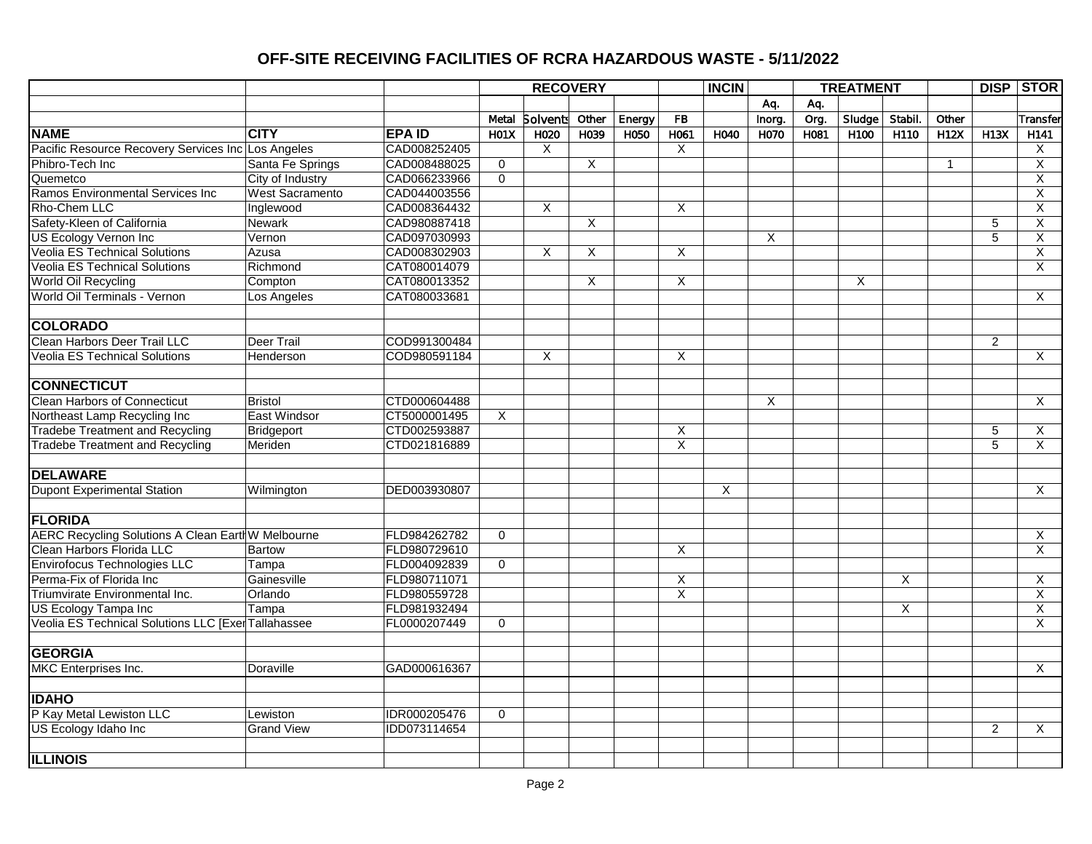|                                                    |                   |               |                         | <b>RECOVERY</b> |       |        |                         | <b>INCIN</b> |        |      | <b>TREATMENT</b> |         |              |                | <b>DISP STOR</b>        |
|----------------------------------------------------|-------------------|---------------|-------------------------|-----------------|-------|--------|-------------------------|--------------|--------|------|------------------|---------|--------------|----------------|-------------------------|
|                                                    |                   |               |                         |                 |       |        |                         |              | Aq.    | Aq.  |                  |         |              |                |                         |
|                                                    |                   |               | Metal                   | <b>Solvents</b> | Other | Energy | <b>FB</b>               |              | Inorg. | Org. | $S$ ludge        | Stabil. | Other        |                | Transfer                |
| <b>NAME</b>                                        | <b>CITY</b>       | <b>EPA ID</b> | H <sub>01</sub> X       | H020            | H039  | H050   | H061                    | H040         | H070   | H081 | H100             | H110    | H12X         | H13X           | H141                    |
| Pacific Resource Recovery Services Inc Los Angeles |                   | CAD008252405  |                         | X               |       |        | X                       |              |        |      |                  |         |              |                | X                       |
| Phibro-Tech Inc                                    | Santa Fe Springs  | CAD008488025  | 0                       |                 | X     |        |                         |              |        |      |                  |         | $\mathbf{1}$ |                | Χ                       |
| Quemetco                                           | City of Industry  | CAD066233966  | $\Omega$                |                 |       |        |                         |              |        |      |                  |         |              |                | $\overline{X}$          |
| Ramos Environmental Services Inc                   | West Sacramento   | CAD044003556  |                         |                 |       |        |                         |              |        |      |                  |         |              |                | $\overline{\mathsf{x}}$ |
| Rho-Chem LLC                                       | Inglewood         | CAD008364432  |                         | X               |       |        | X                       |              |        |      |                  |         |              |                | X                       |
| Safety-Kleen of California                         | <b>Newark</b>     | CAD980887418  |                         |                 | X     |        |                         |              |        |      |                  |         |              | 5              | X                       |
| <b>US Ecology Vernon Inc</b>                       | Vernon            | CAD097030993  |                         |                 |       |        |                         |              | X      |      |                  |         |              | 5              | X                       |
| <b>Veolia ES Technical Solutions</b>               | Azusa             | CAD008302903  |                         | X               | X     |        | X                       |              |        |      |                  |         |              |                | X                       |
| <b>Veolia ES Technical Solutions</b>               | Richmond          | CAT080014079  |                         |                 |       |        |                         |              |        |      |                  |         |              |                | $\overline{X}$          |
| World Oil Recycling                                | Compton           | CAT080013352  |                         |                 | X     |        | X                       |              |        |      | X                |         |              |                |                         |
| World Oil Terminals - Vernon                       | Los Angeles       | CAT080033681  |                         |                 |       |        |                         |              |        |      |                  |         |              |                | X                       |
| <b>COLORADO</b>                                    |                   |               |                         |                 |       |        |                         |              |        |      |                  |         |              |                |                         |
| Clean Harbors Deer Trail LLC                       | Deer Trail        | COD991300484  |                         |                 |       |        |                         |              |        |      |                  |         |              | $\overline{2}$ |                         |
| Veolia ES Technical Solutions                      | Henderson         | COD980591184  |                         | Χ               |       |        | Χ                       |              |        |      |                  |         |              |                | X                       |
| <b>CONNECTICUT</b>                                 |                   |               |                         |                 |       |        |                         |              |        |      |                  |         |              |                |                         |
| Clean Harbors of Connecticut                       | <b>Bristol</b>    | CTD000604488  |                         |                 |       |        |                         |              | X      |      |                  |         |              |                | X                       |
| Northeast Lamp Recycling Inc                       | East Windsor      | CT5000001495  | $\overline{\mathsf{x}}$ |                 |       |        |                         |              |        |      |                  |         |              |                |                         |
| <b>Tradebe Treatment and Recycling</b>             | Bridgeport        | CTD002593887  |                         |                 |       |        | X                       |              |        |      |                  |         |              | 5              | $\overline{X}$          |
| <b>Tradebe Treatment and Recycling</b>             | Meriden           | CTD021816889  |                         |                 |       |        | $\overline{\mathsf{x}}$ |              |        |      |                  |         |              | $\overline{5}$ | X                       |
| <b>DELAWARE</b>                                    |                   |               |                         |                 |       |        |                         |              |        |      |                  |         |              |                |                         |
| <b>Dupont Experimental Station</b>                 | Wilmington        | DED003930807  |                         |                 |       |        |                         | X            |        |      |                  |         |              |                | $\overline{\mathsf{x}}$ |
| <b>FLORIDA</b>                                     |                   |               |                         |                 |       |        |                         |              |        |      |                  |         |              |                |                         |
| AERC Recycling Solutions A Clean Earth W Melbourne |                   | FLD984262782  | $\Omega$                |                 |       |        |                         |              |        |      |                  |         |              |                | X                       |
| Clean Harbors Florida LLC                          | <b>Bartow</b>     | FLD980729610  |                         |                 |       |        | X                       |              |        |      |                  |         |              |                | X                       |
| Envirofocus Technologies LLC                       | Tampa             | FLD004092839  | $\Omega$                |                 |       |        |                         |              |        |      |                  |         |              |                |                         |
| Perma-Fix of Florida Inc                           | Gainesville       | FLD980711071  |                         |                 |       |        | $\overline{\mathsf{x}}$ |              |        |      |                  | X       |              |                | $\overline{\mathsf{x}}$ |
| Triumvirate Environmental Inc.                     | Orlando           | FLD980559728  |                         |                 |       |        | $\overline{X}$          |              |        |      |                  |         |              |                | X                       |
| US Ecology Tampa Inc                               | Tampa             | FLD981932494  |                         |                 |       |        |                         |              |        |      |                  | X       |              |                | X                       |
| Veolia ES Technical Solutions LLC [ExerTallahassee |                   | FL0000207449  | $\mathbf 0$             |                 |       |        |                         |              |        |      |                  |         |              |                | X                       |
|                                                    |                   |               |                         |                 |       |        |                         |              |        |      |                  |         |              |                |                         |
| <b>GEORGIA</b>                                     |                   |               |                         |                 |       |        |                         |              |        |      |                  |         |              |                |                         |
| <b>MKC</b> Enterprises Inc.                        | Doraville         | GAD000616367  |                         |                 |       |        |                         |              |        |      |                  |         |              |                | $\times$                |
| <b>IDAHO</b>                                       |                   |               |                         |                 |       |        |                         |              |        |      |                  |         |              |                |                         |
| P Kay Metal Lewiston LLC                           | Lewiston          | IDR000205476  | $\mathbf 0$             |                 |       |        |                         |              |        |      |                  |         |              |                |                         |
| US Ecology Idaho Inc                               | <b>Grand View</b> | IDD073114654  |                         |                 |       |        |                         |              |        |      |                  |         |              | $\overline{2}$ | X                       |
|                                                    |                   |               |                         |                 |       |        |                         |              |        |      |                  |         |              |                |                         |
| <b>ILLINOIS</b>                                    |                   |               |                         |                 |       |        |                         |              |        |      |                  |         |              |                |                         |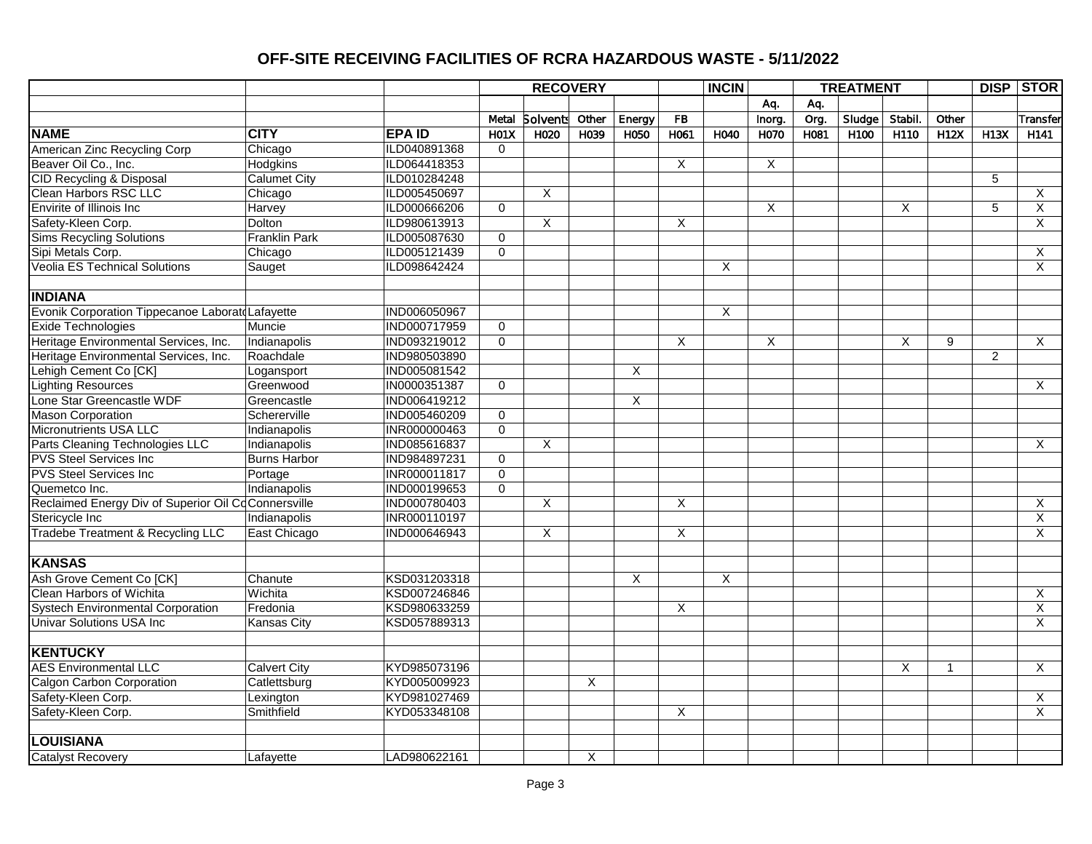|                                                     |                      |                     |                   |                 | <b>RECOVERY</b> |        |                | <b>INCIN</b>   |        |      | <b>TREATMENT</b> |         |              |                | <b>DISP STOR</b> |
|-----------------------------------------------------|----------------------|---------------------|-------------------|-----------------|-----------------|--------|----------------|----------------|--------|------|------------------|---------|--------------|----------------|------------------|
|                                                     |                      |                     |                   |                 |                 |        |                |                | Aq.    | Aq.  |                  |         |              |                |                  |
|                                                     |                      |                     | Metal             | <b>Solvents</b> | Other           | Energy | <b>FB</b>      |                | Inorg. | Org. | Sludge           | Stabil. | Other        |                | Transfer         |
| <b>NAME</b>                                         | <b>CITY</b>          | <b>EPAID</b>        | H <sub>01</sub> X | H020            | H039            | H050   | H061           | H040           | H070   | H081 | H100             | H110    | H12X         | H13X           | H141             |
| American Zinc Recycling Corp                        | Chicago              | ILD040891368        | $\mathbf 0$       |                 |                 |        |                |                |        |      |                  |         |              |                |                  |
| Beaver Oil Co., Inc.                                | <b>Hodgkins</b>      | ILD064418353        |                   |                 |                 |        | Χ              |                | Χ      |      |                  |         |              |                |                  |
| <b>CID Recycling &amp; Disposal</b>                 | <b>Calumet City</b>  | ILD010284248        |                   |                 |                 |        |                |                |        |      |                  |         |              | 5              |                  |
| <b>Clean Harbors RSC LLC</b>                        | Chicago              | ILD005450697        |                   | $\overline{X}$  |                 |        |                |                |        |      |                  |         |              |                | X                |
| Envirite of Illinois Inc                            | Harvey               | ILD000666206        | $\mathbf 0$       |                 |                 |        |                |                | X      |      |                  | X       |              | 5              | X                |
| Safety-Kleen Corp.                                  | <b>Dolton</b>        | ILD980613913        |                   | $\overline{X}$  |                 |        | X              |                |        |      |                  |         |              |                | X                |
| <b>Sims Recycling Solutions</b>                     | <b>Franklin Park</b> | ILD005087630        | $\Omega$          |                 |                 |        |                |                |        |      |                  |         |              |                |                  |
| Sipi Metals Corp.                                   | Chicago              | ILD005121439        | $\overline{0}$    |                 |                 |        |                |                |        |      |                  |         |              |                | X                |
| <b>Veolia ES Technical Solutions</b>                | Sauget               | ILD098642424        |                   |                 |                 |        |                | X              |        |      |                  |         |              |                | X                |
|                                                     |                      |                     |                   |                 |                 |        |                |                |        |      |                  |         |              |                |                  |
| <b>INDIANA</b>                                      |                      |                     |                   |                 |                 |        |                |                |        |      |                  |         |              |                |                  |
| Evonik Corporation Tippecanoe Laboratd Lafayette    |                      | <b>IND006050967</b> |                   |                 |                 |        |                | $\overline{X}$ |        |      |                  |         |              |                |                  |
| <b>Exide Technologies</b>                           | Muncie               | <b>IND000717959</b> | $\mathbf 0$       |                 |                 |        |                |                |        |      |                  |         |              |                |                  |
| Heritage Environmental Services, Inc.               | Indianapolis         | IND093219012        | $\mathbf 0$       |                 |                 |        | X              |                | X      |      |                  | X       | 9            |                | X                |
| Heritage Environmental Services, Inc.               | Roachdale            | IND980503890        |                   |                 |                 |        |                |                |        |      |                  |         |              | $\overline{2}$ |                  |
| Lehigh Cement Co <sup>[CK]</sup>                    | Logansport           | <b>IND005081542</b> |                   |                 |                 | X      |                |                |        |      |                  |         |              |                |                  |
| Lighting Resources                                  | Greenwood            | IN0000351387        | $\overline{0}$    |                 |                 |        |                |                |        |      |                  |         |              |                | $\times$         |
| Lone Star Greencastle WDF                           | Greencastle          | IND006419212        |                   |                 |                 | X      |                |                |        |      |                  |         |              |                |                  |
| <b>Mason Corporation</b>                            | Schererville         | IND005460209        | $\overline{0}$    |                 |                 |        |                |                |        |      |                  |         |              |                |                  |
| Micronutrients USA LLC                              | Indianapolis         | INR000000463        | $\Omega$          |                 |                 |        |                |                |        |      |                  |         |              |                |                  |
| Parts Cleaning Technologies LLC                     | Indianapolis         | IND085616837        |                   | $\overline{X}$  |                 |        |                |                |        |      |                  |         |              |                | X                |
| <b>PVS Steel Services Inc.</b>                      | <b>Burns Harbor</b>  | IND984897231        | $\mathbf 0$       |                 |                 |        |                |                |        |      |                  |         |              |                |                  |
| <b>PVS Steel Services Inc</b>                       | Portage              | INR000011817        | $\mathbf 0$       |                 |                 |        |                |                |        |      |                  |         |              |                |                  |
| Quemetco Inc.                                       | Indianapolis         | IND000199653        | $\Omega$          |                 |                 |        |                |                |        |      |                  |         |              |                |                  |
| Reclaimed Energy Div of Superior Oil CoConnersville |                      | <b>IND000780403</b> |                   | $\overline{X}$  |                 |        | $\overline{X}$ |                |        |      |                  |         |              |                | X                |
| Stericycle Inc                                      | Indianapolis         | <b>INR000110197</b> |                   |                 |                 |        |                |                |        |      |                  |         |              |                | $\overline{X}$   |
| <b>Tradebe Treatment &amp; Recycling LLC</b>        | <b>East Chicago</b>  | IND000646943        |                   | X               |                 |        | X              |                |        |      |                  |         |              |                | X                |
|                                                     |                      |                     |                   |                 |                 |        |                |                |        |      |                  |         |              |                |                  |
| <b>KANSAS</b>                                       |                      |                     |                   |                 |                 |        |                |                |        |      |                  |         |              |                |                  |
| Ash Grove Cement Co [CK]                            | Chanute              | KSD031203318        |                   |                 |                 | X      |                | X              |        |      |                  |         |              |                |                  |
| <b>Clean Harbors of Wichita</b>                     | Wichita              | KSD007246846        |                   |                 |                 |        |                |                |        |      |                  |         |              |                | X                |
| <b>Systech Environmental Corporation</b>            | Fredonia             | KSD980633259        |                   |                 |                 |        | X              |                |        |      |                  |         |              |                | $\overline{X}$   |
| <b>Univar Solutions USA Inc.</b>                    | <b>Kansas City</b>   | KSD057889313        |                   |                 |                 |        |                |                |        |      |                  |         |              |                | X                |
|                                                     |                      |                     |                   |                 |                 |        |                |                |        |      |                  |         |              |                |                  |
| <b>KENTUCKY</b>                                     |                      |                     |                   |                 |                 |        |                |                |        |      |                  |         |              |                |                  |
| <b>AES Environmental LLC</b>                        | <b>Calvert City</b>  | KYD985073196        |                   |                 |                 |        |                |                |        |      |                  | X       | $\mathbf{1}$ |                | X                |
| <b>Calgon Carbon Corporation</b>                    | Catlettsburg         | KYD005009923        |                   |                 | X               |        |                |                |        |      |                  |         |              |                |                  |
| Safety-Kleen Corp.                                  | Lexington            | KYD981027469        |                   |                 |                 |        |                |                |        |      |                  |         |              |                | X                |
| Safety-Kleen Corp.                                  | Smithfield           | KYD053348108        |                   |                 |                 |        | X              |                |        |      |                  |         |              |                | X                |
|                                                     |                      |                     |                   |                 |                 |        |                |                |        |      |                  |         |              |                |                  |
| <b>LOUISIANA</b>                                    |                      |                     |                   |                 |                 |        |                |                |        |      |                  |         |              |                |                  |
| <b>Catalyst Recovery</b>                            | Lafavette            | LAD980622161        |                   |                 | X               |        |                |                |        |      |                  |         |              |                |                  |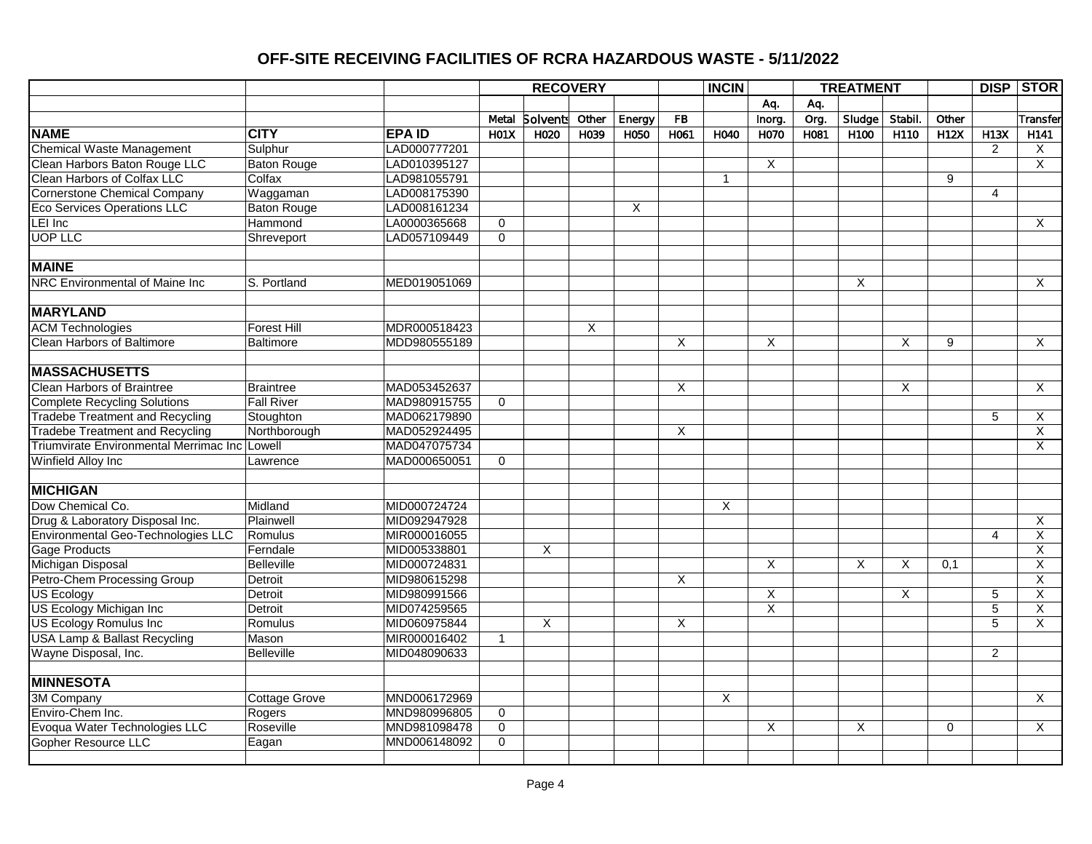|                                               |                    |              |              | <b>RECOVERY</b>         |                |        |                         | <b>INCIN</b> |                         |      | <b>TREATMENT</b> |        |          |                | <b>DISP STOR</b>        |
|-----------------------------------------------|--------------------|--------------|--------------|-------------------------|----------------|--------|-------------------------|--------------|-------------------------|------|------------------|--------|----------|----------------|-------------------------|
|                                               |                    |              |              |                         |                |        |                         |              | Aq.                     | Aq.  |                  |        |          |                |                         |
|                                               |                    |              | Metal        | <b>Solvents</b>         | Other          | Energy | FB                      |              | Inorg.                  | Org. | Sludge           | Stabil | Other    |                | Transfer                |
| <b>NAME</b>                                   | <b>CITY</b>        | <b>EPAID</b> | <b>H01X</b>  | H020                    | H039           | H050   | H061                    | H040         | H070                    | H081 | H100             | H110   | H12X     | H13X           | H <sub>141</sub>        |
| <b>Chemical Waste Management</b>              | Sulphur            | LAD000777201 |              |                         |                |        |                         |              |                         |      |                  |        |          | $\overline{2}$ | X                       |
| Clean Harbors Baton Rouge LLC                 | <b>Baton Rouge</b> | LAD010395127 |              |                         |                |        |                         |              | Χ                       |      |                  |        |          |                | X                       |
| <b>Clean Harbors of Colfax LLC</b>            | Colfax             | LAD981055791 |              |                         |                |        |                         | $\mathbf{1}$ |                         |      |                  |        | 9        |                |                         |
| <b>Cornerstone Chemical Company</b>           | Waggaman           | LAD008175390 |              |                         |                |        |                         |              |                         |      |                  |        |          | $\overline{4}$ |                         |
| <b>Eco Services Operations LLC</b>            | <b>Baton Rouge</b> | LAD008161234 |              |                         |                | X      |                         |              |                         |      |                  |        |          |                |                         |
| LEI Inc                                       | Hammond            | LA0000365668 | $\Omega$     |                         |                |        |                         |              |                         |      |                  |        |          |                | X                       |
| <b>UOP LLC</b>                                | Shreveport         | LAD057109449 | $\mathbf 0$  |                         |                |        |                         |              |                         |      |                  |        |          |                |                         |
|                                               |                    |              |              |                         |                |        |                         |              |                         |      |                  |        |          |                |                         |
| <b>MAINE</b>                                  |                    |              |              |                         |                |        |                         |              |                         |      |                  |        |          |                |                         |
| <b>NRC Environmental of Maine Inc</b>         | S. Portland        | MED019051069 |              |                         |                |        |                         |              |                         |      | X                |        |          |                | X                       |
|                                               |                    |              |              |                         |                |        |                         |              |                         |      |                  |        |          |                |                         |
| <b>MARYLAND</b>                               |                    |              |              |                         |                |        |                         |              |                         |      |                  |        |          |                |                         |
| <b>ACM Technologies</b>                       | <b>Forest Hill</b> | MDR000518423 |              |                         | $\overline{X}$ |        |                         |              |                         |      |                  |        |          |                |                         |
| <b>Clean Harbors of Baltimore</b>             | <b>Baltimore</b>   | MDD980555189 |              |                         |                |        | X                       |              | X                       |      |                  | X      | 9        |                | $\times$                |
|                                               |                    |              |              |                         |                |        |                         |              |                         |      |                  |        |          |                |                         |
| <b>MASSACHUSETTS</b>                          |                    |              |              |                         |                |        |                         |              |                         |      |                  |        |          |                |                         |
| <b>Clean Harbors of Braintree</b>             | <b>Braintree</b>   | MAD053452637 |              |                         |                |        | X                       |              |                         |      |                  | Χ      |          |                | X                       |
| <b>Complete Recycling Solutions</b>           | <b>Fall River</b>  | MAD980915755 | $\mathbf 0$  |                         |                |        |                         |              |                         |      |                  |        |          |                |                         |
| <b>Tradebe Treatment and Recycling</b>        | Stoughton          | MAD062179890 |              |                         |                |        |                         |              |                         |      |                  |        |          | 5              | X                       |
| <b>Tradebe Treatment and Recycling</b>        | Northborough       | MAD052924495 |              |                         |                |        | X                       |              |                         |      |                  |        |          |                | $\overline{\mathsf{x}}$ |
| Triumvirate Environmental Merrimac Inc Lowell |                    | MAD047075734 |              |                         |                |        |                         |              |                         |      |                  |        |          |                | X                       |
| Winfield Alloy Inc                            | Lawrence           | MAD000650051 | $\mathbf 0$  |                         |                |        |                         |              |                         |      |                  |        |          |                |                         |
|                                               |                    |              |              |                         |                |        |                         |              |                         |      |                  |        |          |                |                         |
| <b>MICHIGAN</b>                               |                    |              |              |                         |                |        |                         |              |                         |      |                  |        |          |                |                         |
| Dow Chemical Co.                              | Midland            | MID000724724 |              |                         |                |        |                         | X            |                         |      |                  |        |          |                |                         |
| Drug & Laboratory Disposal Inc.               | Plainwell          | MID092947928 |              |                         |                |        |                         |              |                         |      |                  |        |          |                | X                       |
| Environmental Geo-Technologies LLC            | Romulus            | MIR000016055 |              |                         |                |        |                         |              |                         |      |                  |        |          | 4              | X                       |
| <b>Gage Products</b>                          | Ferndale           | MID005338801 |              | X                       |                |        |                         |              |                         |      |                  |        |          |                | $\overline{\mathsf{x}}$ |
| <b>Michigan Disposal</b>                      | Belleville         | MID000724831 |              |                         |                |        |                         |              | X                       |      | X                | X      | 0.1      |                | X                       |
| Petro-Chem Processing Group                   | Detroit            | MID980615298 |              |                         |                |        | X                       |              |                         |      |                  |        |          |                | X                       |
| <b>US Ecology</b>                             | Detroit            | MID980991566 |              |                         |                |        |                         |              | X                       |      |                  | Χ      |          | 5              | X                       |
| US Ecology Michigan Inc                       | Detroit            | MID074259565 |              |                         |                |        |                         |              | $\overline{\mathsf{x}}$ |      |                  |        |          | 5              | $\overline{\mathsf{x}}$ |
| US Ecology Romulus Inc                        | Romulus            | MID060975844 |              | $\overline{\mathsf{x}}$ |                |        | $\overline{\mathsf{X}}$ |              |                         |      |                  |        |          | 5              | X                       |
| <b>USA Lamp &amp; Ballast Recycling</b>       | Mason              | MIR000016402 | $\mathbf{1}$ |                         |                |        |                         |              |                         |      |                  |        |          |                |                         |
| Wayne Disposal, Inc.                          | <b>Belleville</b>  | MID048090633 |              |                         |                |        |                         |              |                         |      |                  |        |          | $\overline{2}$ |                         |
|                                               |                    |              |              |                         |                |        |                         |              |                         |      |                  |        |          |                |                         |
| <b>MINNESOTA</b>                              |                    |              |              |                         |                |        |                         |              |                         |      |                  |        |          |                |                         |
| 3M Company                                    | Cottage Grove      | MND006172969 |              |                         |                |        |                         | X            |                         |      |                  |        |          |                | X                       |
| Enviro-Chem Inc.                              | Rogers             | MND980996805 | $\mathbf 0$  |                         |                |        |                         |              |                         |      |                  |        |          |                |                         |
| Evoqua Water Technologies LLC                 | Roseville          | MND981098478 | $\mathbf 0$  |                         |                |        |                         |              | X                       |      | X                |        | $\Omega$ |                | X                       |
| <b>Gopher Resource LLC</b>                    | Eagan              | MND006148092 | $\mathbf 0$  |                         |                |        |                         |              |                         |      |                  |        |          |                |                         |
|                                               |                    |              |              |                         |                |        |                         |              |                         |      |                  |        |          |                |                         |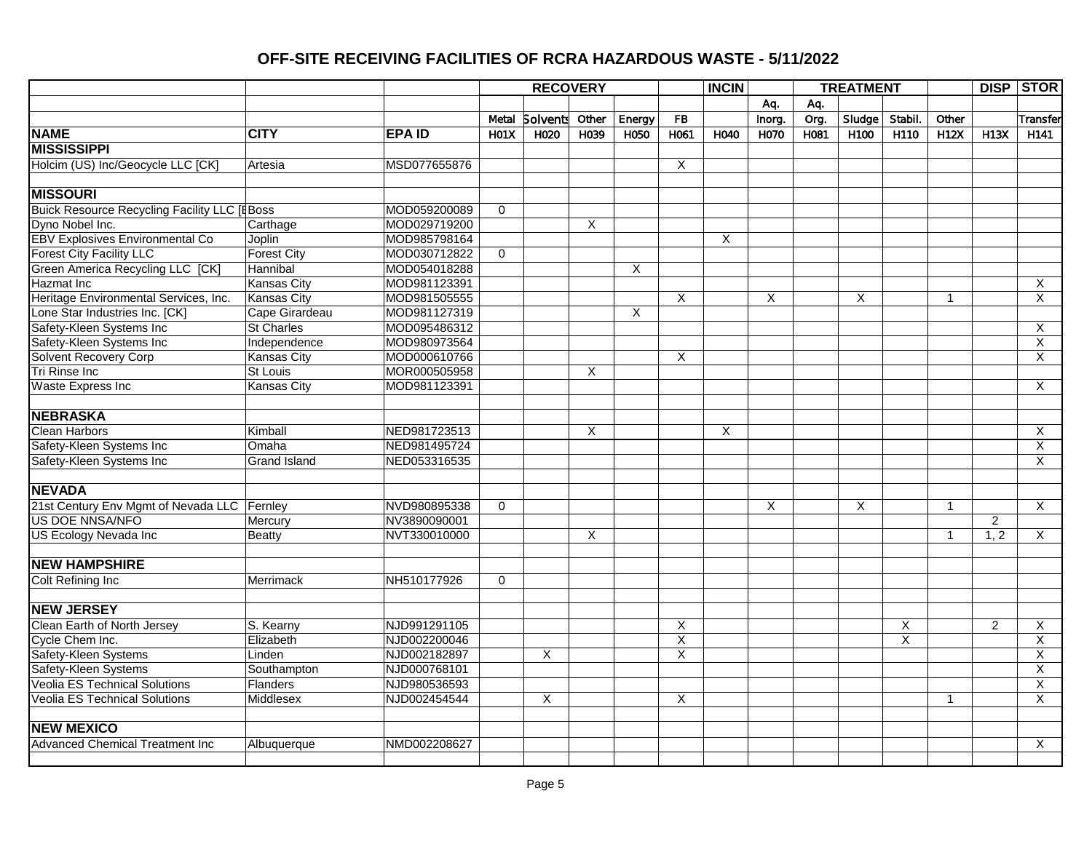|                                                     |                     |              |             | <b>RECOVERY</b>  |                         |        |                         | <b>INCIN</b>            |        |      | <b>TREATMENT</b> |         |              |                | <b>DISP STOR</b>        |
|-----------------------------------------------------|---------------------|--------------|-------------|------------------|-------------------------|--------|-------------------------|-------------------------|--------|------|------------------|---------|--------------|----------------|-------------------------|
|                                                     |                     |              |             |                  |                         |        |                         |                         | Aq.    | Aq.  |                  |         |              |                |                         |
|                                                     |                     |              | Metal       | <b>Solvents</b>  | Other                   | Energy | <b>FB</b>               |                         | Inorg. | Org. | Sludge           | Stabil. | Other        |                | Transfer                |
| <b>NAME</b>                                         | <b>CITY</b>         | <b>EPAID</b> | <b>H01X</b> | H <sub>020</sub> | H039                    | H050   | H061                    | H040                    | H070   | H081 | H100             | H110    | <b>H12X</b>  | <b>H13X</b>    | H <sub>141</sub>        |
| <b>MISSISSIPPI</b>                                  |                     |              |             |                  |                         |        |                         |                         |        |      |                  |         |              |                |                         |
| Holcim (US) Inc/Geocycle LLC [CK]                   | Artesia             | MSD077655876 |             |                  |                         |        | Χ                       |                         |        |      |                  |         |              |                |                         |
|                                                     |                     |              |             |                  |                         |        |                         |                         |        |      |                  |         |              |                |                         |
| <b>MISSOURI</b>                                     |                     |              |             |                  |                         |        |                         |                         |        |      |                  |         |              |                |                         |
| <b>Buick Resource Recycling Facility LLC [EBoss</b> |                     | MOD059200089 | $\Omega$    |                  |                         |        |                         |                         |        |      |                  |         |              |                |                         |
| Dyno Nobel Inc.                                     | Carthage            | MOD029719200 |             |                  | X                       |        |                         |                         |        |      |                  |         |              |                |                         |
| EBV Explosives Environmental Co                     | Joplin              | MOD985798164 |             |                  |                         |        |                         | X                       |        |      |                  |         |              |                |                         |
| <b>Forest City Facility LLC</b>                     | <b>Forest City</b>  | MOD030712822 | $\mathbf 0$ |                  |                         |        |                         |                         |        |      |                  |         |              |                |                         |
| Green America Recycling LLC [CK]                    | Hannibal            | MOD054018288 |             |                  |                         | X      |                         |                         |        |      |                  |         |              |                |                         |
| Hazmat Inc                                          | <b>Kansas City</b>  | MOD981123391 |             |                  |                         |        |                         |                         |        |      |                  |         |              |                | X                       |
| Heritage Environmental Services, Inc.               | Kansas City         | MOD981505555 |             |                  |                         |        | X                       |                         | X      |      | X                |         | $\mathbf{1}$ |                | X                       |
| Lone Star Industries Inc. [CK]                      | Cape Girardeau      | MOD981127319 |             |                  |                         | X      |                         |                         |        |      |                  |         |              |                |                         |
| Safety-Kleen Systems Inc                            | <b>St Charles</b>   | MOD095486312 |             |                  |                         |        |                         |                         |        |      |                  |         |              |                | X                       |
| Safety-Kleen Systems Inc                            | Independence        | MOD980973564 |             |                  |                         |        |                         |                         |        |      |                  |         |              |                | $\overline{\mathsf{x}}$ |
| Solvent Recovery Corp                               | <b>Kansas City</b>  | MOD000610766 |             |                  |                         |        | X                       |                         |        |      |                  |         |              |                | X                       |
| <b>Tri Rinse Inc</b>                                | St Louis            | MOR000505958 |             |                  | X                       |        |                         |                         |        |      |                  |         |              |                |                         |
| <b>Waste Express Inc</b>                            | <b>Kansas City</b>  | MOD981123391 |             |                  |                         |        |                         |                         |        |      |                  |         |              |                | X                       |
|                                                     |                     |              |             |                  |                         |        |                         |                         |        |      |                  |         |              |                |                         |
| <b>NEBRASKA</b>                                     |                     |              |             |                  |                         |        |                         |                         |        |      |                  |         |              |                |                         |
| <b>Clean Harbors</b>                                | Kimball             | NED981723513 |             |                  | $\overline{\mathsf{x}}$ |        |                         | $\overline{\mathsf{x}}$ |        |      |                  |         |              |                | X                       |
| Safety-Kleen Systems Inc                            | Omaha               | NED981495724 |             |                  |                         |        |                         |                         |        |      |                  |         |              |                | X                       |
| Safety-Kleen Systems Inc                            | <b>Grand Island</b> | NED053316535 |             |                  |                         |        |                         |                         |        |      |                  |         |              |                | X                       |
|                                                     |                     |              |             |                  |                         |        |                         |                         |        |      |                  |         |              |                |                         |
| <b>NEVADA</b>                                       |                     |              |             |                  |                         |        |                         |                         |        |      |                  |         |              |                |                         |
| 21st Century Env Mgmt of Nevada LLC Fernley         |                     | NVD980895338 | $\Omega$    |                  |                         |        |                         |                         | X      |      | $\overline{X}$   |         | $\mathbf{1}$ |                | X                       |
| <b>US DOE NNSA/NFO</b>                              | Mercury             | NV3890090001 |             |                  |                         |        |                         |                         |        |      |                  |         |              | $\overline{2}$ |                         |
| US Ecology Nevada Inc                               | Beatty              | NVT330010000 |             |                  | $\times$                |        |                         |                         |        |      |                  |         | $\mathbf{1}$ | 1, 2           | Χ                       |
|                                                     |                     |              |             |                  |                         |        |                         |                         |        |      |                  |         |              |                |                         |
| <b>NEW HAMPSHIRE</b>                                |                     |              |             |                  |                         |        |                         |                         |        |      |                  |         |              |                |                         |
| <b>Colt Refining Inc</b>                            | Merrimack           | NH510177926  | $\mathbf 0$ |                  |                         |        |                         |                         |        |      |                  |         |              |                |                         |
|                                                     |                     |              |             |                  |                         |        |                         |                         |        |      |                  |         |              |                |                         |
| <b>NEW JERSEY</b>                                   |                     |              |             |                  |                         |        |                         |                         |        |      |                  |         |              |                |                         |
| Clean Earth of North Jersey                         | S. Kearny           | NJD991291105 |             |                  |                         |        | X                       |                         |        |      |                  | Χ       |              | $\overline{2}$ | Χ                       |
| Cycle Chem Inc.                                     | Elizabeth           | NJD002200046 |             |                  |                         |        | $\overline{\mathsf{X}}$ |                         |        |      |                  | X       |              |                | $\overline{X}$          |
| Safety-Kleen Systems                                | Linden              | NJD002182897 |             | X                |                         |        | $\overline{\mathsf{x}}$ |                         |        |      |                  |         |              |                | X                       |
| Safety-Kleen Systems                                | Southampton         | NJD000768101 |             |                  |                         |        |                         |                         |        |      |                  |         |              |                | $\overline{\mathsf{x}}$ |
| <b>Veolia ES Technical Solutions</b>                | Flanders            | NJD980536593 |             |                  |                         |        |                         |                         |        |      |                  |         |              |                | X                       |
| <b>Veolia ES Technical Solutions</b>                | Middlesex           | NJD002454544 |             | X                |                         |        | X                       |                         |        |      |                  |         | $\mathbf{1}$ |                | X                       |
|                                                     |                     |              |             |                  |                         |        |                         |                         |        |      |                  |         |              |                |                         |
| <b>NEW MEXICO</b>                                   |                     |              |             |                  |                         |        |                         |                         |        |      |                  |         |              |                |                         |
| <b>Advanced Chemical Treatment Inc</b>              | Albuquerque         | NMD002208627 |             |                  |                         |        |                         |                         |        |      |                  |         |              |                | X                       |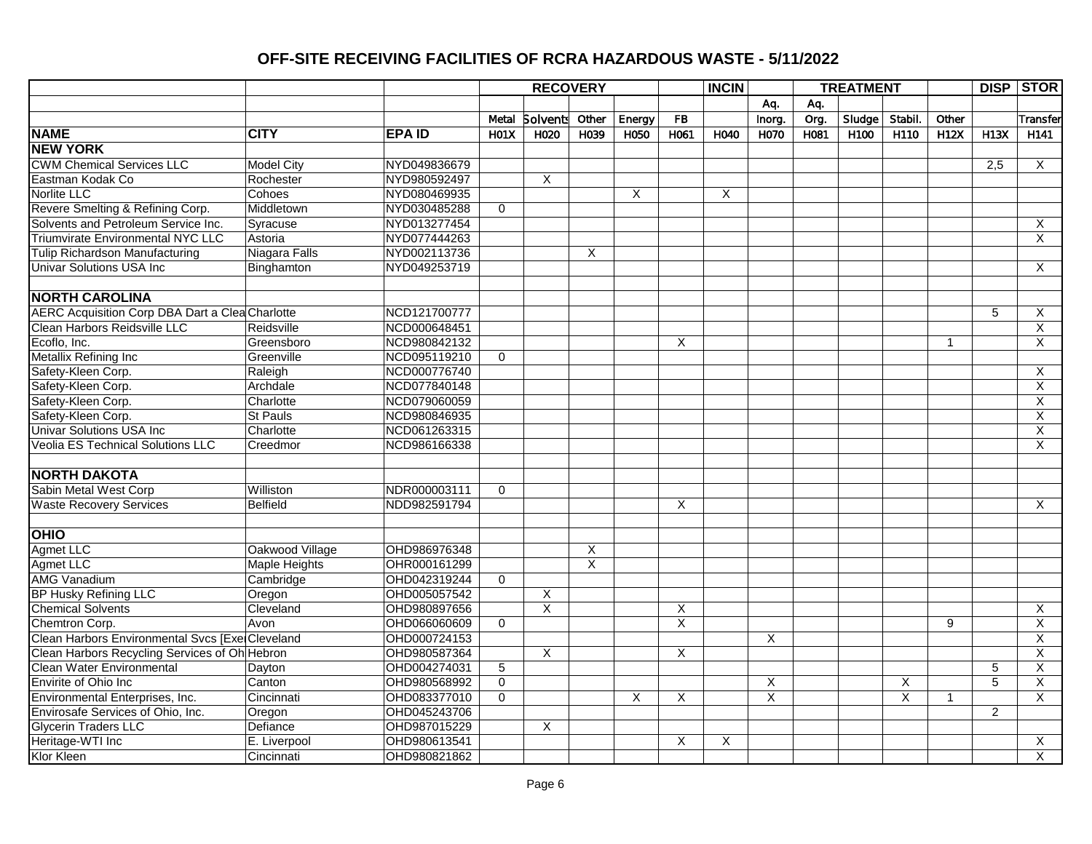|                                                        |                      |              |                  | <b>RECOVERY</b>         |                         |        |                         | <b>INCIN</b> |                         |      | <b>TREATMENT</b> |         |              |                | <b>DISP STOR</b>        |
|--------------------------------------------------------|----------------------|--------------|------------------|-------------------------|-------------------------|--------|-------------------------|--------------|-------------------------|------|------------------|---------|--------------|----------------|-------------------------|
|                                                        |                      |              |                  |                         |                         |        |                         |              | Aq.                     | Aq.  |                  |         |              |                |                         |
|                                                        |                      |              | Metal            | <b>Solvents</b>         | Other                   | Energy | FB                      |              | Inorg.                  | Org. | Sludge           | Stabil. | Other        |                | Transfer                |
| <b>NAME</b>                                            | <b>CITY</b>          | <b>EPAID</b> | H <sub>01X</sub> | H020                    | H039                    | H050   | H <sub>061</sub>        | H040         | H070                    | H081 | H <sub>100</sub> | H110    | <b>H12X</b>  | <b>H13X</b>    | H <sub>141</sub>        |
| <b>NEW YORK</b>                                        |                      |              |                  |                         |                         |        |                         |              |                         |      |                  |         |              |                |                         |
| <b>CWM Chemical Services LLC</b>                       | <b>Model City</b>    | NYD049836679 |                  |                         |                         |        |                         |              |                         |      |                  |         |              | 2,5            | X                       |
| Eastman Kodak Co                                       | Rochester            | NYD980592497 |                  | X                       |                         |        |                         |              |                         |      |                  |         |              |                |                         |
| Norlite LLC                                            | Cohoes               | NYD080469935 |                  |                         |                         | X      |                         | X            |                         |      |                  |         |              |                |                         |
| Revere Smelting & Refining Corp.                       | Middletown           | NYD030485288 | $\mathbf 0$      |                         |                         |        |                         |              |                         |      |                  |         |              |                |                         |
| Solvents and Petroleum Service Inc.                    | Syracuse             | NYD013277454 |                  |                         |                         |        |                         |              |                         |      |                  |         |              |                | Χ                       |
| <b>Triumvirate Environmental NYC LLC</b>               | Astoria              | NYD077444263 |                  |                         |                         |        |                         |              |                         |      |                  |         |              |                | $\overline{\mathsf{x}}$ |
| <b>Tulip Richardson Manufacturing</b>                  | Niagara Falls        | NYD002113736 |                  |                         | X                       |        |                         |              |                         |      |                  |         |              |                |                         |
| <b>Univar Solutions USA Inc.</b>                       | Binghamton           | NYD049253719 |                  |                         |                         |        |                         |              |                         |      |                  |         |              |                | X                       |
|                                                        |                      |              |                  |                         |                         |        |                         |              |                         |      |                  |         |              |                |                         |
| <b>NORTH CAROLINA</b>                                  |                      |              |                  |                         |                         |        |                         |              |                         |      |                  |         |              |                |                         |
| <b>AERC Acquisition Corp DBA Dart a Clea Charlotte</b> |                      | NCD121700777 |                  |                         |                         |        |                         |              |                         |      |                  |         |              | 5              | X                       |
| Clean Harbors Reidsville LLC                           | Reidsville           | NCD000648451 |                  |                         |                         |        |                         |              |                         |      |                  |         |              |                | $\overline{X}$          |
| Ecoflo, Inc.                                           | Greensboro           | NCD980842132 |                  |                         |                         |        | X                       |              |                         |      |                  |         | $\mathbf{1}$ |                | X                       |
| Metallix Refining Inc                                  | Greenville           | NCD095119210 | $\mathbf 0$      |                         |                         |        |                         |              |                         |      |                  |         |              |                |                         |
| Safety-Kleen Corp.                                     | Raleigh              | NCD000776740 |                  |                         |                         |        |                         |              |                         |      |                  |         |              |                | X                       |
| Safety-Kleen Corp.                                     | Archdale             | NCD077840148 |                  |                         |                         |        |                         |              |                         |      |                  |         |              |                | X                       |
| Safety-Kleen Corp.                                     | Charlotte            | NCD079060059 |                  |                         |                         |        |                         |              |                         |      |                  |         |              |                | X                       |
| Safety-Kleen Corp.                                     | <b>St Pauls</b>      | NCD980846935 |                  |                         |                         |        |                         |              |                         |      |                  |         |              |                | X                       |
| <b>Univar Solutions USA Inc.</b>                       | Charlotte            | NCD061263315 |                  |                         |                         |        |                         |              |                         |      |                  |         |              |                | $\overline{\mathsf{X}}$ |
| <b>Veolia ES Technical Solutions LLC</b>               | Creedmor             | NCD986166338 |                  |                         |                         |        |                         |              |                         |      |                  |         |              |                | $\overline{\mathsf{x}}$ |
|                                                        |                      |              |                  |                         |                         |        |                         |              |                         |      |                  |         |              |                |                         |
| <b>NORTH DAKOTA</b>                                    |                      |              |                  |                         |                         |        |                         |              |                         |      |                  |         |              |                |                         |
| Sabin Metal West Corp                                  | Williston            | NDR000003111 | $\Omega$         |                         |                         |        |                         |              |                         |      |                  |         |              |                |                         |
| <b>Waste Recovery Services</b>                         | <b>Belfield</b>      | NDD982591794 |                  |                         |                         |        | $\overline{\mathsf{x}}$ |              |                         |      |                  |         |              |                | $\overline{X}$          |
|                                                        |                      |              |                  |                         |                         |        |                         |              |                         |      |                  |         |              |                |                         |
| OHIO                                                   |                      |              |                  |                         |                         |        |                         |              |                         |      |                  |         |              |                |                         |
| Agmet LLC                                              | Oakwood Village      | OHD986976348 |                  |                         | X                       |        |                         |              |                         |      |                  |         |              |                |                         |
| <b>Agmet LLC</b>                                       | <b>Maple Heights</b> | OHR000161299 |                  |                         | $\overline{\mathsf{X}}$ |        |                         |              |                         |      |                  |         |              |                |                         |
| AMG Vanadium                                           | Cambridge            | OHD042319244 | $\mathbf 0$      |                         |                         |        |                         |              |                         |      |                  |         |              |                |                         |
| <b>BP Husky Refining LLC</b>                           | Oregon               | OHD005057542 |                  | X                       |                         |        |                         |              |                         |      |                  |         |              |                |                         |
| <b>Chemical Solvents</b>                               | Cleveland            | OHD980897656 |                  | $\overline{\mathsf{x}}$ |                         |        | X                       |              |                         |      |                  |         |              |                | X                       |
| Chemtron Corp.                                         | Avon                 | OHD066060609 | $\mathbf 0$      |                         |                         |        | X                       |              |                         |      |                  |         | 9            |                | $\overline{\mathsf{x}}$ |
| Clean Harbors Environmental Svcs [ExelCleveland        |                      | OHD000724153 |                  |                         |                         |        |                         |              | X                       |      |                  |         |              |                | X                       |
| Clean Harbors Recycling Services of Oh Hebron          |                      | OHD980587364 |                  | X                       |                         |        | X                       |              |                         |      |                  |         |              |                | X                       |
| <b>Clean Water Environmental</b>                       | Dayton               | OHD004274031 | 5                |                         |                         |        |                         |              |                         |      |                  |         |              | 5              | X                       |
| Envirite of Ohio Inc                                   | Canton               | OHD980568992 | $\overline{0}$   |                         |                         |        |                         |              | X                       |      |                  | X       |              | $\overline{5}$ | X                       |
| Environmental Enterprises, Inc.                        | Cincinnati           | OHD083377010 | $\overline{0}$   |                         |                         | X      | $\overline{X}$          |              | $\overline{\mathsf{x}}$ |      |                  | X       | $\mathbf{1}$ |                | $\overline{X}$          |
| Envirosafe Services of Ohio, Inc.                      | Oregon               | OHD045243706 |                  |                         |                         |        |                         |              |                         |      |                  |         |              | $\overline{2}$ |                         |
| <b>Glycerin Traders LLC</b>                            | Defiance             | OHD987015229 |                  | X                       |                         |        |                         |              |                         |      |                  |         |              |                |                         |
| Heritage-WTI Inc                                       | E. Liverpool         | OHD980613541 |                  |                         |                         |        | X                       | X            |                         |      |                  |         |              |                | X                       |
| Klor Kleen                                             | Cincinnati           | OHD980821862 |                  |                         |                         |        |                         |              |                         |      |                  |         |              |                | X                       |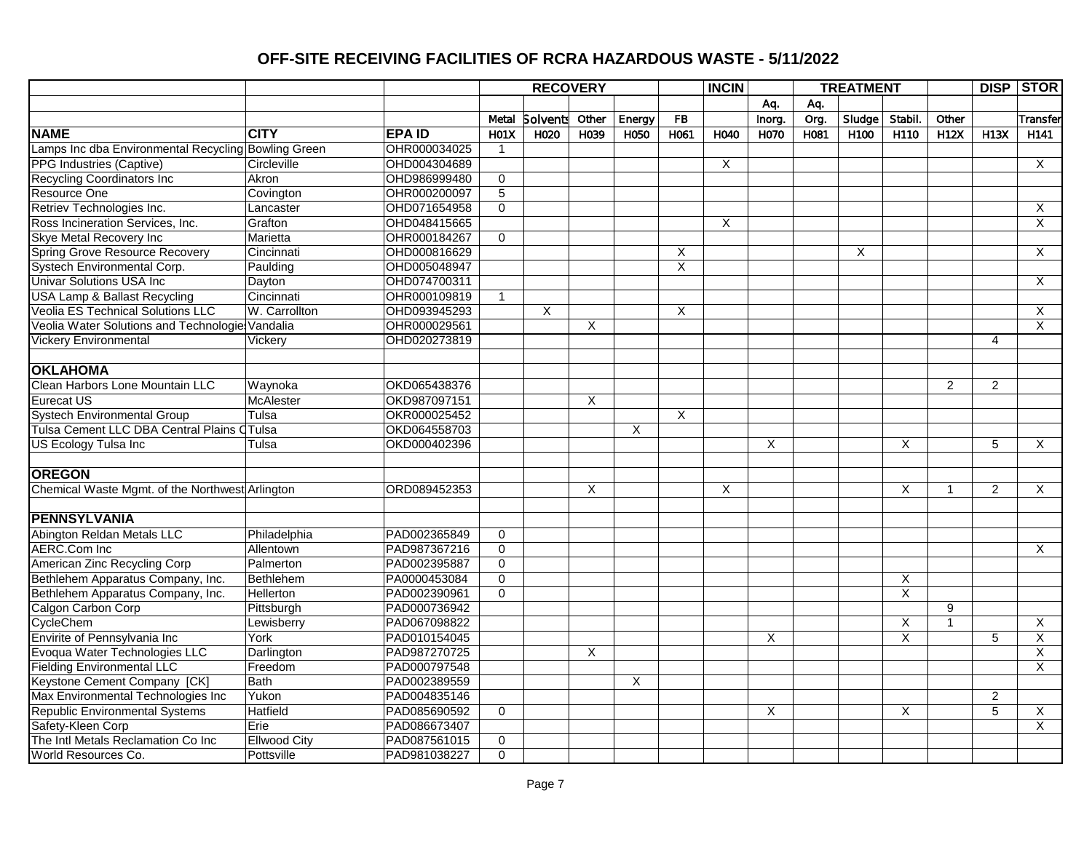|                                                     |                     |              |                  | <b>RECOVERY</b> |       |          |                         | <b>INCIN</b> |        |      | <b>TREATMENT</b> |                         |                |                 | <b>DISP STOR</b>        |
|-----------------------------------------------------|---------------------|--------------|------------------|-----------------|-------|----------|-------------------------|--------------|--------|------|------------------|-------------------------|----------------|-----------------|-------------------------|
|                                                     |                     |              |                  |                 |       |          |                         |              | Aq.    | Aq.  |                  |                         |                |                 |                         |
|                                                     |                     |              | Metal            | <b>Solvents</b> | Other | Energy   | FB                      |              | Inorg. | Org. | Sludge           | Stabil.                 | Other          |                 | Transfer                |
| <b>NAME</b>                                         | <b>CITY</b>         | <b>EPAID</b> | H <sub>01X</sub> | H020            | H039  | H050     | H061                    | H040         | H070   | H081 | H <sub>100</sub> | H110                    | H12X           | <b>H13X</b>     | H <sub>141</sub>        |
| Lamps Inc dba Environmental Recycling Bowling Green |                     | OHR000034025 | 1                |                 |       |          |                         |              |        |      |                  |                         |                |                 |                         |
| PPG Industries (Captive)                            | Circleville         | OHD004304689 |                  |                 |       |          |                         | X            |        |      |                  |                         |                |                 | X                       |
| <b>Recycling Coordinators Inc</b>                   | Akron               | OHD986999480 | 0                |                 |       |          |                         |              |        |      |                  |                         |                |                 |                         |
| Resource One                                        | Covington           | OHR000200097 | $\overline{5}$   |                 |       |          |                         |              |        |      |                  |                         |                |                 |                         |
| Retriev Technologies Inc.                           | Lancaster           | OHD071654958 | $\Omega$         |                 |       |          |                         |              |        |      |                  |                         |                |                 | X                       |
| Ross Incineration Services, Inc.                    | Grafton             | OHD048415665 |                  |                 |       |          |                         | $\times$     |        |      |                  |                         |                |                 | $\overline{X}$          |
| <b>Skye Metal Recovery Inc</b>                      | Marietta            | OHR000184267 | 0                |                 |       |          |                         |              |        |      |                  |                         |                |                 |                         |
| <b>Spring Grove Resource Recovery</b>               | Cincinnati          | OHD000816629 |                  |                 |       |          | $\overline{\mathsf{x}}$ |              |        |      | $\overline{X}$   |                         |                |                 | $\overline{X}$          |
| Systech Environmental Corp.                         | Paulding            | OHD005048947 |                  |                 |       |          | X                       |              |        |      |                  |                         |                |                 |                         |
| <b>Univar Solutions USA Inc</b>                     | Dayton              | OHD074700311 |                  |                 |       |          |                         |              |        |      |                  |                         |                |                 | X                       |
| <b>USA Lamp &amp; Ballast Recycling</b>             | Cincinnati          | OHR000109819 | $\mathbf{1}$     |                 |       |          |                         |              |        |      |                  |                         |                |                 |                         |
| <b>Veolia ES Technical Solutions LLC</b>            | W. Carrollton       | OHD093945293 |                  | X               |       |          | X                       |              |        |      |                  |                         |                |                 | X                       |
| Veolia Water Solutions and Technologie Vandalia     |                     | OHR000029561 |                  |                 | X     |          |                         |              |        |      |                  |                         |                |                 | X                       |
| <b>Vickery Environmental</b>                        | Vickery             | OHD020273819 |                  |                 |       |          |                         |              |        |      |                  |                         |                | $\overline{4}$  |                         |
|                                                     |                     |              |                  |                 |       |          |                         |              |        |      |                  |                         |                |                 |                         |
| <b>OKLAHOMA</b>                                     |                     |              |                  |                 |       |          |                         |              |        |      |                  |                         |                |                 |                         |
| Clean Harbors Lone Mountain LLC                     | Waynoka             | OKD065438376 |                  |                 |       |          |                         |              |        |      |                  |                         | $\overline{2}$ | $\overline{2}$  |                         |
| <b>Eurecat US</b>                                   | McAlester           | OKD987097151 |                  |                 | X     |          |                         |              |        |      |                  |                         |                |                 |                         |
| <b>Systech Environmental Group</b>                  | Tulsa               | OKR000025452 |                  |                 |       |          | $\overline{X}$          |              |        |      |                  |                         |                |                 |                         |
| Tulsa Cement LLC DBA Central Plains CTulsa          |                     | OKD064558703 |                  |                 |       | X        |                         |              |        |      |                  |                         |                |                 |                         |
| US Ecology Tulsa Inc                                | Tulsa               | OKD000402396 |                  |                 |       |          |                         |              | X      |      |                  | X                       |                | 5               | X                       |
| <b>OREGON</b>                                       |                     |              |                  |                 |       |          |                         |              |        |      |                  |                         |                |                 |                         |
| Chemical Waste Mgmt. of the Northwest Arlington     |                     | ORD089452353 |                  |                 | X     |          |                         | X            |        |      |                  | X                       | $\mathbf 1$    | $\overline{2}$  | $\overline{X}$          |
|                                                     |                     |              |                  |                 |       |          |                         |              |        |      |                  |                         |                |                 |                         |
| <b>PENNSYLVANIA</b>                                 |                     |              |                  |                 |       |          |                         |              |        |      |                  |                         |                |                 |                         |
| Abington Reldan Metals LLC                          | Philadelphia        | PAD002365849 | $\mathbf 0$      |                 |       |          |                         |              |        |      |                  |                         |                |                 |                         |
| <b>AERC.Com Inc</b>                                 | Allentown           | PAD987367216 | $\overline{0}$   |                 |       |          |                         |              |        |      |                  |                         |                |                 | X                       |
| American Zinc Recycling Corp                        | Palmerton           | PAD002395887 | $\overline{0}$   |                 |       |          |                         |              |        |      |                  |                         |                |                 |                         |
| Bethlehem Apparatus Company, Inc.                   | Bethlehem           | PA0000453084 | $\overline{0}$   |                 |       |          |                         |              |        |      |                  | $\overline{X}$          |                |                 |                         |
| Bethlehem Apparatus Company, Inc.                   | <b>Hellerton</b>    | PAD002390961 | $\overline{0}$   |                 |       |          |                         |              |        |      |                  | $\overline{\mathsf{x}}$ |                |                 |                         |
| Calgon Carbon Corp                                  | Pittsburgh          | PAD000736942 |                  |                 |       |          |                         |              |        |      |                  |                         | 9              |                 |                         |
| CycleChem                                           | Lewisberry          | PAD067098822 |                  |                 |       |          |                         |              |        |      |                  | Χ                       | 1              |                 | $\overline{\mathsf{x}}$ |
| Envirite of Pennsylvania Inc                        | York                | PAD010154045 |                  |                 |       |          |                         |              | X      |      |                  | X                       |                | 5               | $\overline{X}$          |
| Evoqua Water Technologies LLC                       | Darlington          | PAD987270725 |                  |                 | X     |          |                         |              |        |      |                  |                         |                |                 | $\overline{X}$          |
| <b>Fielding Environmental LLC</b>                   | Freedom             | PAD000797548 |                  |                 |       |          |                         |              |        |      |                  |                         |                |                 | X                       |
| Keystone Cement Company [CK]                        | Bath                | PAD002389559 |                  |                 |       | $\times$ |                         |              |        |      |                  |                         |                |                 |                         |
| Max Environmental Technologies Inc                  | Yukon               | PAD004835146 |                  |                 |       |          |                         |              |        |      |                  |                         |                | $\overline{2}$  |                         |
| <b>Republic Environmental Systems</b>               | Hatfield            | PAD085690592 | $\mathbf 0$      |                 |       |          |                         |              | X      |      |                  | X                       |                | $5\overline{)}$ | X                       |
| Safety-Kleen Corp                                   | Erie                | PAD086673407 |                  |                 |       |          |                         |              |        |      |                  |                         |                |                 | X                       |
| The Intl Metals Reclamation Co Inc                  | <b>Ellwood City</b> | PAD087561015 | 0                |                 |       |          |                         |              |        |      |                  |                         |                |                 |                         |
| World Resources Co.                                 | Pottsville          | PAD981038227 | $\overline{0}$   |                 |       |          |                         |              |        |      |                  |                         |                |                 |                         |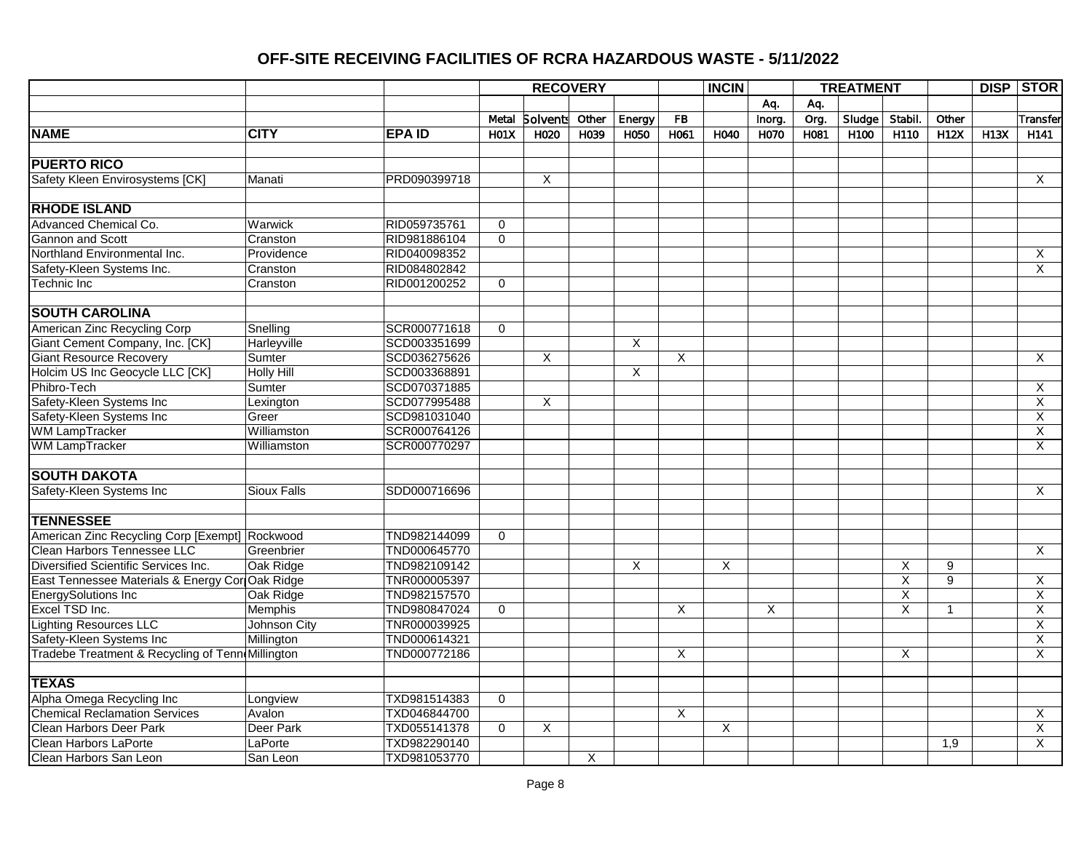|                                                  |                    |                |                  | <b>RECOVERY</b> |       |                |                         | <b>INCIN</b> |        |      | <b>TREATMENT</b> |         |              |             | <b>DISP STOR</b>        |
|--------------------------------------------------|--------------------|----------------|------------------|-----------------|-------|----------------|-------------------------|--------------|--------|------|------------------|---------|--------------|-------------|-------------------------|
|                                                  |                    |                |                  |                 |       |                |                         |              | Aq.    | Aq.  |                  |         |              |             |                         |
|                                                  |                    |                | Metal            | <b>Solvents</b> | Other | Energy         | FB                      |              | Inorg. | Org. | $S$ ludge        | Stabil. | Other        |             | Transfer                |
| <b>NAME</b>                                      | <b>CITY</b>        | <b>IEPA ID</b> | H <sub>01X</sub> | H020            | H039  | H050           | H061                    | H040         | H070   | H081 | H100             | H110    | H12X         | <b>H13X</b> | H141                    |
|                                                  |                    |                |                  |                 |       |                |                         |              |        |      |                  |         |              |             |                         |
| <b>PUERTO RICO</b>                               |                    |                |                  |                 |       |                |                         |              |        |      |                  |         |              |             |                         |
| Safety Kleen Envirosystems [CK]                  | Manati             | PRD090399718   |                  | X               |       |                |                         |              |        |      |                  |         |              |             | X                       |
|                                                  |                    |                |                  |                 |       |                |                         |              |        |      |                  |         |              |             |                         |
| <b>RHODE ISLAND</b>                              |                    |                |                  |                 |       |                |                         |              |        |      |                  |         |              |             |                         |
| <b>Advanced Chemical Co.</b>                     | Warwick            | RID059735761   | $\Omega$         |                 |       |                |                         |              |        |      |                  |         |              |             |                         |
| Gannon and Scott                                 | Cranston           | RID981886104   | 0                |                 |       |                |                         |              |        |      |                  |         |              |             |                         |
| Northland Environmental Inc.                     | Providence         | RID040098352   |                  |                 |       |                |                         |              |        |      |                  |         |              |             | X                       |
| Safety-Kleen Systems Inc.                        | Cranston           | RID084802842   |                  |                 |       |                |                         |              |        |      |                  |         |              |             | X                       |
| <b>Technic Inc</b>                               | Cranston           | RID001200252   | $\mathbf 0$      |                 |       |                |                         |              |        |      |                  |         |              |             |                         |
|                                                  |                    |                |                  |                 |       |                |                         |              |        |      |                  |         |              |             |                         |
| <b>SOUTH CAROLINA</b>                            |                    |                |                  |                 |       |                |                         |              |        |      |                  |         |              |             |                         |
| American Zinc Recycling Corp                     | Snelling           | SCR000771618   | $\Omega$         |                 |       |                |                         |              |        |      |                  |         |              |             |                         |
| Giant Cement Company, Inc. [CK]                  | Harleyville        | SCD003351699   |                  |                 |       | X              |                         |              |        |      |                  |         |              |             |                         |
| <b>Giant Resource Recovery</b>                   | Sumter             | SCD036275626   |                  | X               |       |                | $\overline{X}$          |              |        |      |                  |         |              |             | $\overline{X}$          |
| Holcim US Inc Geocycle LLC [CK]                  | <b>Holly Hill</b>  | SCD003368891   |                  |                 |       | $\overline{X}$ |                         |              |        |      |                  |         |              |             |                         |
| Phibro-Tech                                      | Sumter             | SCD070371885   |                  |                 |       |                |                         |              |        |      |                  |         |              |             | X                       |
| Safety-Kleen Systems Inc                         | Lexington          | SCD077995488   |                  | X               |       |                |                         |              |        |      |                  |         |              |             | X                       |
| Safety-Kleen Systems Inc                         | Greer              | SCD981031040   |                  |                 |       |                |                         |              |        |      |                  |         |              |             | X                       |
| <b>WM LampTracker</b>                            | Williamston        | SCR000764126   |                  |                 |       |                |                         |              |        |      |                  |         |              |             | Χ                       |
| <b>WM LampTracker</b>                            | Williamston        | SCR000770297   |                  |                 |       |                |                         |              |        |      |                  |         |              |             | X                       |
|                                                  |                    |                |                  |                 |       |                |                         |              |        |      |                  |         |              |             |                         |
| <b>SOUTH DAKOTA</b>                              |                    |                |                  |                 |       |                |                         |              |        |      |                  |         |              |             |                         |
| Safety-Kleen Systems Inc                         | <b>Sioux Falls</b> | SDD000716696   |                  |                 |       |                |                         |              |        |      |                  |         |              |             | X                       |
|                                                  |                    |                |                  |                 |       |                |                         |              |        |      |                  |         |              |             |                         |
| <b>TENNESSEE</b>                                 |                    |                |                  |                 |       |                |                         |              |        |      |                  |         |              |             |                         |
| American Zinc Recycling Corp [Exempt] Rockwood   |                    | TND982144099   | $\mathbf 0$      |                 |       |                |                         |              |        |      |                  |         |              |             |                         |
| Clean Harbors Tennessee LLC                      | Greenbrier         | TND000645770   |                  |                 |       |                |                         |              |        |      |                  |         |              |             | X                       |
| Diversified Scientific Services Inc.             | Oak Ridge          | TND982109142   |                  |                 |       | X              |                         | X            |        |      |                  | X       | 9            |             |                         |
| East Tennessee Materials & Energy Cor Oak Ridge  |                    | TNR000005397   |                  |                 |       |                |                         |              |        |      |                  | X       | 9            |             | X                       |
| <b>EnergySolutions Inc</b>                       | Oak Ridge          | TND982157570   |                  |                 |       |                |                         |              |        |      |                  | X       |              |             | X                       |
| Excel TSD Inc.                                   | <b>Memphis</b>     | TND980847024   | $\Omega$         |                 |       |                | Χ                       |              | Χ      |      |                  | X       | $\mathbf{1}$ |             | X                       |
| Lighting Resources LLC                           | Johnson City       | TNR000039925   |                  |                 |       |                |                         |              |        |      |                  |         |              |             | $\overline{\mathsf{x}}$ |
| Safety-Kleen Systems Inc                         | Millington         | TND000614321   |                  |                 |       |                |                         |              |        |      |                  |         |              |             | $\overline{\mathsf{x}}$ |
| Tradebe Treatment & Recycling of Tenn Millington |                    | TND000772186   |                  |                 |       |                | X                       |              |        |      |                  | X       |              |             | X                       |
|                                                  |                    |                |                  |                 |       |                |                         |              |        |      |                  |         |              |             |                         |
| <b>TEXAS</b>                                     |                    |                |                  |                 |       |                |                         |              |        |      |                  |         |              |             |                         |
| Alpha Omega Recycling Inc                        | Longview           | TXD981514383   | $\mathbf 0$      |                 |       |                |                         |              |        |      |                  |         |              |             |                         |
| <b>Chemical Reclamation Services</b>             | Avalon             | TXD046844700   |                  |                 |       |                | $\overline{\mathsf{x}}$ |              |        |      |                  |         |              |             | X                       |
| Clean Harbors Deer Park                          | Deer Park          | TXD055141378   | $\mathbf 0$      | X               |       |                |                         | X            |        |      |                  |         |              |             | X                       |
| Clean Harbors LaPorte                            | LaPorte            | TXD982290140   |                  |                 |       |                |                         |              |        |      |                  |         | 1,9          |             | $\overline{\mathsf{x}}$ |
| Clean Harbors San Leon                           | San Leon           | TXD981053770   |                  |                 | X     |                |                         |              |        |      |                  |         |              |             |                         |
|                                                  |                    |                |                  |                 |       |                |                         |              |        |      |                  |         |              |             |                         |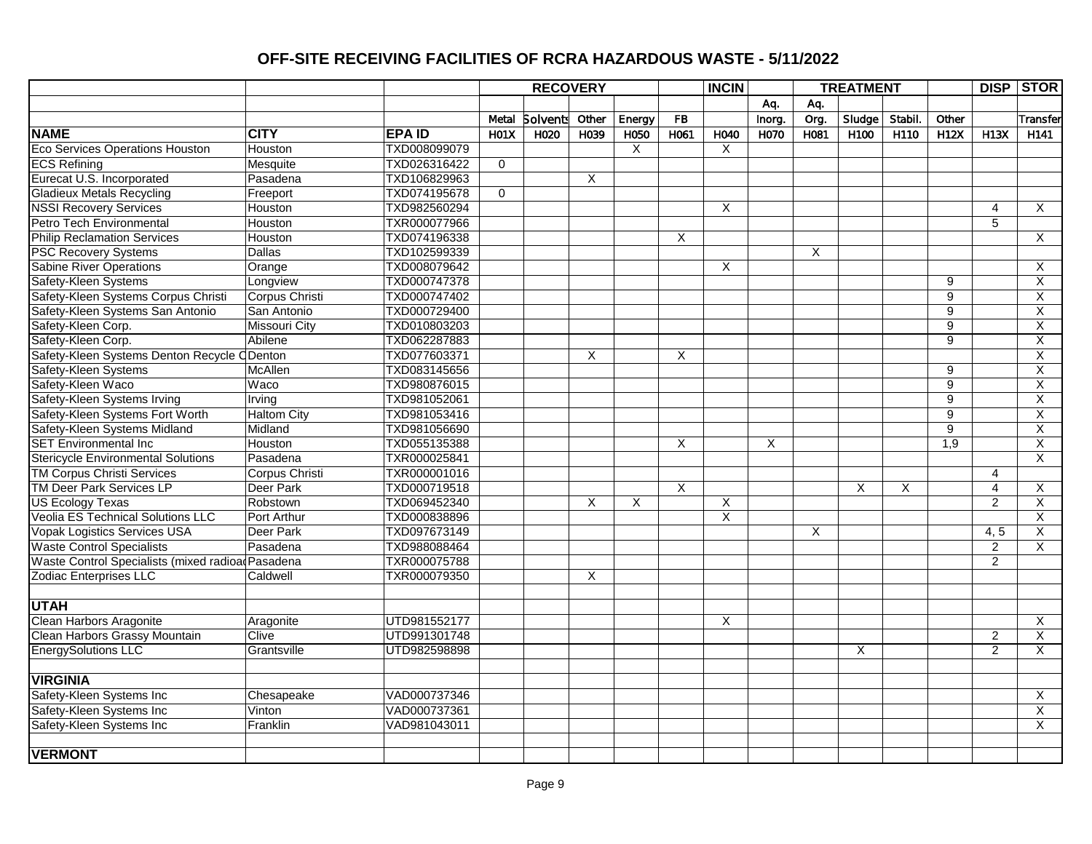|                                                  |                      |              |                | <b>RECOVERY</b> |                |        |                         | <b>INCIN</b>            |        |      | <b>TREATMENT</b> |         |                  |                | <b>DISP STOR</b>        |
|--------------------------------------------------|----------------------|--------------|----------------|-----------------|----------------|--------|-------------------------|-------------------------|--------|------|------------------|---------|------------------|----------------|-------------------------|
|                                                  |                      |              |                |                 |                |        |                         |                         | Aq.    | Aq.  |                  |         |                  |                |                         |
|                                                  |                      |              | Metal          | <b>Solvents</b> | Other          | Energy | <b>FB</b>               |                         | Inorg. | Org. | Sludge           | Stabil. | Other            |                | Transfer                |
| <b>NAME</b>                                      | <b>CITY</b>          | <b>EPAID</b> | <b>H01X</b>    | H020            | H039           | H050   | H061                    | H040                    | H070   | H081 | H <sub>100</sub> | H110    | <b>H12X</b>      | H13X           | H <sub>141</sub>        |
| <b>Eco Services Operations Houston</b>           | Houston              | TXD008099079 |                |                 |                | X      |                         | X                       |        |      |                  |         |                  |                |                         |
| <b>ECS Refining</b>                              | Mesquite             | TXD026316422 | $\mathbf 0$    |                 |                |        |                         |                         |        |      |                  |         |                  |                |                         |
| Eurecat U.S. Incorporated                        | Pasadena             | TXD106829963 |                |                 | X              |        |                         |                         |        |      |                  |         |                  |                |                         |
| <b>Gladieux Metals Recycling</b>                 | Freeport             | TXD074195678 | $\overline{0}$ |                 |                |        |                         |                         |        |      |                  |         |                  |                |                         |
| <b>NSSI Recovery Services</b>                    | Houston              | TXD982560294 |                |                 |                |        |                         | $\overline{\mathsf{x}}$ |        |      |                  |         |                  | $\overline{4}$ | X                       |
| <b>Petro Tech Environmental</b>                  | Houston              | TXR000077966 |                |                 |                |        |                         |                         |        |      |                  |         |                  | $\overline{5}$ |                         |
| <b>Philip Reclamation Services</b>               | Houston              | TXD074196338 |                |                 |                |        | Χ                       |                         |        |      |                  |         |                  |                | X                       |
| <b>PSC Recovery Systems</b>                      | <b>Dallas</b>        | TXD102599339 |                |                 |                |        |                         |                         |        | X    |                  |         |                  |                |                         |
| <b>Sabine River Operations</b>                   | Orange               | TXD008079642 |                |                 |                |        |                         | X                       |        |      |                  |         |                  |                | X                       |
| Safety-Kleen Systems                             | Longview             | TXD000747378 |                |                 |                |        |                         |                         |        |      |                  |         | 9                |                | X                       |
| Safety-Kleen Systems Corpus Christi              | Corpus Christi       | TXD000747402 |                |                 |                |        |                         |                         |        |      |                  |         | $\overline{9}$   |                | X                       |
| Safety-Kleen Systems San Antonio                 | San Antonio          | TXD000729400 |                |                 |                |        |                         |                         |        |      |                  |         | 9                |                | $\overline{X}$          |
| Safety-Kleen Corp.                               | <b>Missouri City</b> | TXD010803203 |                |                 |                |        |                         |                         |        |      |                  |         | $\overline{9}$   |                | $\overline{\mathsf{x}}$ |
| Safety-Kleen Corp.                               | Abilene              | TXD062287883 |                |                 |                |        |                         |                         |        |      |                  |         | 9                |                | X                       |
| Safety-Kleen Systems Denton Recycle ODenton      |                      | TXD077603371 |                |                 | X              |        | $\overline{\mathsf{x}}$ |                         |        |      |                  |         |                  |                | X                       |
| Safety-Kleen Systems                             | McAllen              | TXD083145656 |                |                 |                |        |                         |                         |        |      |                  |         | 9                |                | X                       |
| Safety-Kleen Waco                                | Waco                 | TXD980876015 |                |                 |                |        |                         |                         |        |      |                  |         | 9                |                | $\overline{X}$          |
| Safety-Kleen Systems Irving                      | Irving               | TXD981052061 |                |                 |                |        |                         |                         |        |      |                  |         | $\overline{9}$   |                | X                       |
| Safety-Kleen Systems Fort Worth                  | <b>Haltom City</b>   | TXD981053416 |                |                 |                |        |                         |                         |        |      |                  |         | 9                |                | X                       |
| Safety-Kleen Systems Midland                     | Midland              | TXD981056690 |                |                 |                |        |                         |                         |        |      |                  |         | $\overline{9}$   |                | $\overline{X}$          |
| <b>SET Environmental Inc.</b>                    | Houston              | TXD055135388 |                |                 |                |        | X                       |                         | X      |      |                  |         | $\overline{1,9}$ |                | X                       |
| <b>Stericycle Environmental Solutions</b>        | Pasadena             | TXR000025841 |                |                 |                |        |                         |                         |        |      |                  |         |                  |                | X                       |
| <b>TM Corpus Christi Services</b>                | Corpus Christi       | TXR000001016 |                |                 |                |        |                         |                         |        |      |                  |         |                  | $\overline{4}$ |                         |
| <b>TM Deer Park Services LP</b>                  | Deer Park            | TXD000719518 |                |                 |                |        | X                       |                         |        |      | X                | Χ       |                  | 4              | Χ                       |
| <b>US Ecology Texas</b>                          | Robstown             | TXD069452340 |                |                 | $\overline{X}$ | X      |                         | X                       |        |      |                  |         |                  | $\overline{2}$ | Χ                       |
| <b>Veolia ES Technical Solutions LLC</b>         | Port Arthur          | TXD000838896 |                |                 |                |        |                         | $\overline{\mathsf{X}}$ |        |      |                  |         |                  |                | X                       |
| <b>Vopak Logistics Services USA</b>              | Deer Park            | TXD097673149 |                |                 |                |        |                         |                         |        | Χ    |                  |         |                  | 4, 5           | X                       |
| <b>Waste Control Specialists</b>                 | Pasadena             | TXD988088464 |                |                 |                |        |                         |                         |        |      |                  |         |                  | $\overline{2}$ | X                       |
| Waste Control Specialists (mixed radioa Pasadena |                      | TXR000075788 |                |                 |                |        |                         |                         |        |      |                  |         |                  | $\overline{2}$ |                         |
| <b>Zodiac Enterprises LLC</b>                    | Caldwell             | TXR000079350 |                |                 | X              |        |                         |                         |        |      |                  |         |                  |                |                         |
|                                                  |                      |              |                |                 |                |        |                         |                         |        |      |                  |         |                  |                |                         |
| <b>UTAH</b>                                      |                      |              |                |                 |                |        |                         |                         |        |      |                  |         |                  |                |                         |
| Clean Harbors Aragonite                          | Aragonite            | UTD981552177 |                |                 |                |        |                         | X                       |        |      |                  |         |                  |                | X                       |
| Clean Harbors Grassy Mountain                    | Clive                | UTD991301748 |                |                 |                |        |                         |                         |        |      |                  |         |                  | $\overline{2}$ | X                       |
| <b>EnergySolutions LLC</b>                       | Grantsville          | UTD982598898 |                |                 |                |        |                         |                         |        |      | X                |         |                  | $\overline{2}$ | X                       |
| <b>VIRGINIA</b>                                  |                      |              |                |                 |                |        |                         |                         |        |      |                  |         |                  |                |                         |
| Safety-Kleen Systems Inc                         | Chesapeake           | VAD000737346 |                |                 |                |        |                         |                         |        |      |                  |         |                  |                |                         |
|                                                  |                      | VAD000737361 |                |                 |                |        |                         |                         |        |      |                  |         |                  |                | Χ                       |
| Safety-Kleen Systems Inc                         | Vinton               |              |                |                 |                |        |                         |                         |        |      |                  |         |                  |                | X                       |
| Safety-Kleen Systems Inc                         | Franklin             | VAD981043011 |                |                 |                |        |                         |                         |        |      |                  |         |                  |                | X                       |
| <b>VERMONT</b>                                   |                      |              |                |                 |                |        |                         |                         |        |      |                  |         |                  |                |                         |
|                                                  |                      |              |                |                 |                |        |                         |                         |        |      |                  |         |                  |                |                         |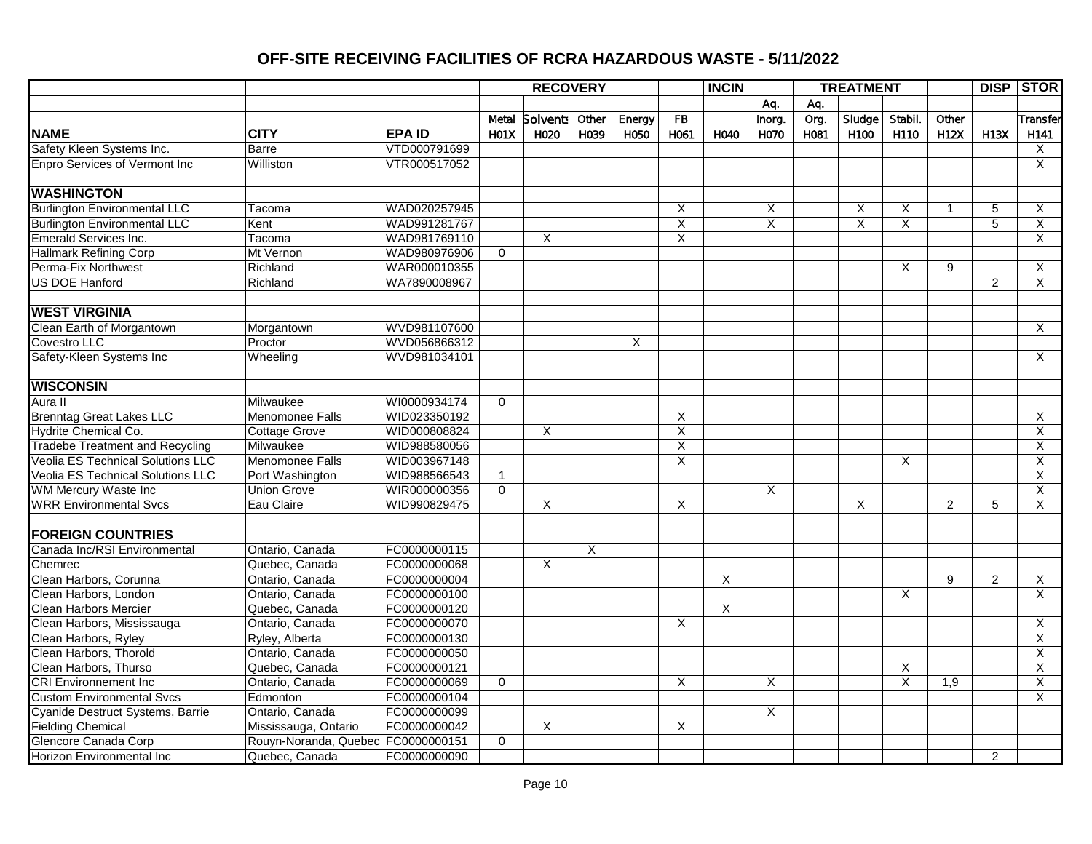|                                             |                                    |               |              | <b>RECOVERY</b>         |                |        |                         | <b>INCIN</b> |                         |      | <b>TREATMENT</b>        |                         |                |                | <b>DISP STOR</b>        |
|---------------------------------------------|------------------------------------|---------------|--------------|-------------------------|----------------|--------|-------------------------|--------------|-------------------------|------|-------------------------|-------------------------|----------------|----------------|-------------------------|
|                                             |                                    |               |              |                         |                |        |                         |              | Aq.                     | Aq.  |                         |                         |                |                |                         |
|                                             |                                    |               | Metal        | <b>Solvents</b>         | Other          | Energy | <b>FB</b>               |              | Inorg.                  | Org. | Sludge                  | Stabil.                 | Other          |                | Transfer                |
| <b>NAME</b><br><b>CITY</b>                  |                                    | <b>EPA ID</b> | <b>H01X</b>  | H020                    | H039           | H050   | H061                    | H040         | H070                    | H081 | H <sub>100</sub>        | H110                    | <b>H12X</b>    | <b>H13X</b>    | H141                    |
| Safety Kleen Systems Inc.<br>Barre          |                                    | VTD000791699  |              |                         |                |        |                         |              |                         |      |                         |                         |                |                | X                       |
| <b>Enpro Services of Vermont Inc</b>        | Williston                          | VTR000517052  |              |                         |                |        |                         |              |                         |      |                         |                         |                |                | $\overline{X}$          |
|                                             |                                    |               |              |                         |                |        |                         |              |                         |      |                         |                         |                |                |                         |
| <b>WASHINGTON</b>                           |                                    |               |              |                         |                |        |                         |              |                         |      |                         |                         |                |                |                         |
| <b>Burlington Environmental LLC</b>         | Tacoma                             | WAD020257945  |              |                         |                |        | X                       |              | X                       |      | X                       | X                       | $\overline{1}$ | 5              | X                       |
| <b>Burlington Environmental LLC</b><br>Kent |                                    | WAD991281767  |              |                         |                |        | $\overline{\mathsf{x}}$ |              | $\overline{\mathsf{x}}$ |      | $\overline{\mathsf{x}}$ | $\overline{\mathsf{x}}$ |                | 5              | $\overline{X}$          |
| <b>Emerald Services Inc.</b>                | Tacoma                             | WAD981769110  |              | X                       |                |        | $\overline{x}$          |              |                         |      |                         |                         |                |                | $\overline{\mathsf{x}}$ |
| <b>Hallmark Refining Corp</b>               | Mt Vernon                          | WAD980976906  | $\mathbf 0$  |                         |                |        |                         |              |                         |      |                         |                         |                |                |                         |
| Perma-Fix Northwest                         | Richland                           | WAR000010355  |              |                         |                |        |                         |              |                         |      |                         | X                       | 9              |                | X                       |
| <b>US DOE Hanford</b>                       | Richland                           | WA7890008967  |              |                         |                |        |                         |              |                         |      |                         |                         |                | $\overline{2}$ | $\overline{X}$          |
|                                             |                                    |               |              |                         |                |        |                         |              |                         |      |                         |                         |                |                |                         |
| <b>WEST VIRGINIA</b>                        |                                    |               |              |                         |                |        |                         |              |                         |      |                         |                         |                |                |                         |
| Clean Earth of Morgantown                   | Morgantown                         | WVD981107600  |              |                         |                |        |                         |              |                         |      |                         |                         |                |                | X                       |
| Covestro LLC<br>Proctor                     |                                    | WVD056866312  |              |                         |                | X      |                         |              |                         |      |                         |                         |                |                |                         |
| Safety-Kleen Systems Inc                    | Wheeling                           | WVD981034101  |              |                         |                |        |                         |              |                         |      |                         |                         |                |                | X                       |
|                                             |                                    |               |              |                         |                |        |                         |              |                         |      |                         |                         |                |                |                         |
| <b>WISCONSIN</b>                            |                                    |               |              |                         |                |        |                         |              |                         |      |                         |                         |                |                |                         |
| Aura II                                     | Milwaukee                          | WI0000934174  | $\Omega$     |                         |                |        |                         |              |                         |      |                         |                         |                |                |                         |
| <b>Brenntag Great Lakes LLC</b>             | Menomonee Falls                    | WID023350192  |              |                         |                |        | $\overline{\mathsf{x}}$ |              |                         |      |                         |                         |                |                | X                       |
| Hydrite Chemical Co.                        | Cottage Grove                      | WID000808824  |              | $\overline{\mathsf{x}}$ |                |        | $\overline{X}$          |              |                         |      |                         |                         |                |                | $\overline{\mathsf{X}}$ |
| <b>Tradebe Treatment and Recycling</b>      | Milwaukee                          | WID988580056  |              |                         |                |        | $\overline{\mathsf{x}}$ |              |                         |      |                         |                         |                |                | $\overline{\mathsf{x}}$ |
| <b>Veolia ES Technical Solutions LLC</b>    | Menomonee Falls                    | WID003967148  |              |                         |                |        | X                       |              |                         |      |                         | X                       |                |                | X                       |
| <b>Veolia ES Technical Solutions LLC</b>    | Port Washington                    | WID988566543  | $\mathbf{1}$ |                         |                |        |                         |              |                         |      |                         |                         |                |                | $\overline{x}$          |
| WM Mercury Waste Inc                        | <b>Union Grove</b>                 | WIR000000356  | $\Omega$     |                         |                |        |                         |              | X                       |      |                         |                         |                |                | $\overline{\mathsf{X}}$ |
| <b>WRR Environmental Svcs</b>               | Eau Claire                         | WID990829475  |              | $\overline{X}$          |                |        | $\overline{\mathsf{x}}$ |              |                         |      | X                       |                         | $\overline{c}$ | 5              | X                       |
|                                             |                                    |               |              |                         |                |        |                         |              |                         |      |                         |                         |                |                |                         |
| <b>FOREIGN COUNTRIES</b>                    |                                    |               |              |                         |                |        |                         |              |                         |      |                         |                         |                |                |                         |
| Canada Inc/RSI Environmental                | Ontario, Canada                    | FC0000000115  |              |                         | $\overline{X}$ |        |                         |              |                         |      |                         |                         |                |                |                         |
| Chemrec                                     | Quebec, Canada                     | FC0000000068  |              | X                       |                |        |                         |              |                         |      |                         |                         |                |                |                         |
| Clean Harbors, Corunna                      | Ontario, Canada                    | FC0000000004  |              |                         |                |        |                         | X            |                         |      |                         |                         | 9              | $\overline{2}$ | X                       |
| Clean Harbors, London                       | Ontario, Canada                    | FC0000000100  |              |                         |                |        |                         |              |                         |      |                         | X                       |                |                | $\overline{\mathsf{x}}$ |
| <b>Clean Harbors Mercier</b>                | Quebec, Canada                     | FC0000000120  |              |                         |                |        |                         | X            |                         |      |                         |                         |                |                |                         |
| Clean Harbors, Mississauga                  | Ontario, Canada                    | FC0000000070  |              |                         |                |        | $\overline{X}$          |              |                         |      |                         |                         |                |                | $\overline{X}$          |
| Clean Harbors, Ryley                        | Ryley, Alberta                     | FC0000000130  |              |                         |                |        |                         |              |                         |      |                         |                         |                |                | $\overline{\mathsf{x}}$ |
| Clean Harbors, Thorold                      | Ontario, Canada                    | FC0000000050  |              |                         |                |        |                         |              |                         |      |                         |                         |                |                | $\overline{\mathsf{x}}$ |
| Clean Harbors, Thurso                       | Quebec, Canada                     | FC0000000121  |              |                         |                |        |                         |              |                         |      |                         | X                       |                |                | $\overline{\mathsf{x}}$ |
| <b>CRI Environnement Inc</b>                | Ontario, Canada                    | FC0000000069  | $\mathbf 0$  |                         |                |        | X                       |              | X                       |      |                         | X                       | 1,9            |                | X                       |
| <b>Custom Environmental Svcs</b>            | Edmonton                           | FC0000000104  |              |                         |                |        |                         |              |                         |      |                         |                         |                |                | $\overline{X}$          |
| Cyanide Destruct Systems, Barrie            | Ontario, Canada                    | FC0000000099  |              |                         |                |        |                         |              | X                       |      |                         |                         |                |                |                         |
| <b>Fielding Chemical</b>                    | Mississauga, Ontario               | FC0000000042  |              | X                       |                |        | X                       |              |                         |      |                         |                         |                |                |                         |
| <b>Glencore Canada Corp</b>                 | Rouyn-Noranda, Quebec FC0000000151 |               | $\mathbf 0$  |                         |                |        |                         |              |                         |      |                         |                         |                |                |                         |
| Horizon Environmental Inc                   | Quebec, Canada                     | FC0000000090  |              |                         |                |        |                         |              |                         |      |                         |                         |                | $\overline{2}$ |                         |